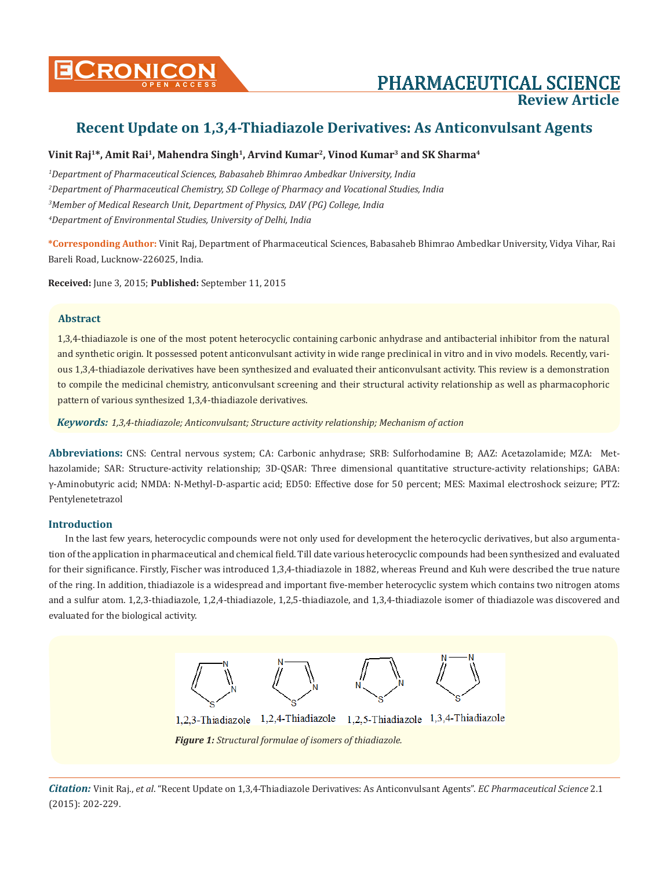

# **CONICON PHARMACEUTICAL SCIENCE Review Article**

## **Recent Update on 1,3,4-Thiadiazole Derivatives: As Anticonvulsant Agents**

## **Vinit Raj1\*, Amit Rai1, Mahendra Singh1, Arvind Kumar2, Vinod Kumar3 and SK Sharma4**

 *Department of Pharmaceutical Sciences, Babasaheb Bhimrao Ambedkar University, India Department of Pharmaceutical Chemistry, SD College of Pharmacy and Vocational Studies, India Member of Medical Research Unit, Department of Physics, DAV (PG) College, India Department of Environmental Studies, University of Delhi, India*

**\*Corresponding Author:** Vinit Raj, Department of Pharmaceutical Sciences, Babasaheb Bhimrao Ambedkar University, Vidya Vihar, Rai Bareli Road, Lucknow-226025, India.

**Received:** June 3, 2015; **Published:** September 11, 2015

## **Abstract**

1,3,4-thiadiazole is one of the most potent heterocyclic containing carbonic anhydrase and antibacterial inhibitor from the natural and synthetic origin. It possessed potent anticonvulsant activity in wide range preclinical in vitro and in vivo models. Recently, various 1,3,4-thiadiazole derivatives have been synthesized and evaluated their anticonvulsant activity. This review is a demonstration to compile the medicinal chemistry, anticonvulsant screening and their structural activity relationship as well as pharmacophoric pattern of various synthesized 1,3,4-thiadiazole derivatives.

*Keywords: 1,3,4-thiadiazole; Anticonvulsant; Structure activity relationship; Mechanism of action*

**Abbreviations:** CNS: Central nervous system; CA: Carbonic anhydrase; SRB: Sulforhodamine B; AAZ: Acetazolamide; MZA: Methazolamide; SAR: Structure-activity relationship; 3D-QSAR: Three dimensional quantitative structure-activity relationships; GABA: γ-Aminobutyric acid; NMDA: N-Methyl-D-aspartic acid; ED50: Effective dose for 50 percent; MES: Maximal electroshock seizure; PTZ: Pentylenetetrazol

## **Introduction**

In the last few years, heterocyclic compounds were not only used for development the heterocyclic derivatives, but also argumentation of the application in pharmaceutical and chemical field. Till date various heterocyclic compounds had been synthesized and evaluated for their significance. Firstly, Fischer was introduced 1,3,4-thiadiazole in 1882, whereas Freund and Kuh were described the true nature of the ring. In addition, thiadiazole is a widespread and important five-member heterocyclic system which contains two nitrogen atoms and a sulfur atom. 1,2,3-thiadiazole, 1,2,4-thiadiazole, 1,2,5-thiadiazole, and 1,3,4-thiadiazole isomer of thiadiazole was discovered and evaluated for the biological activity.

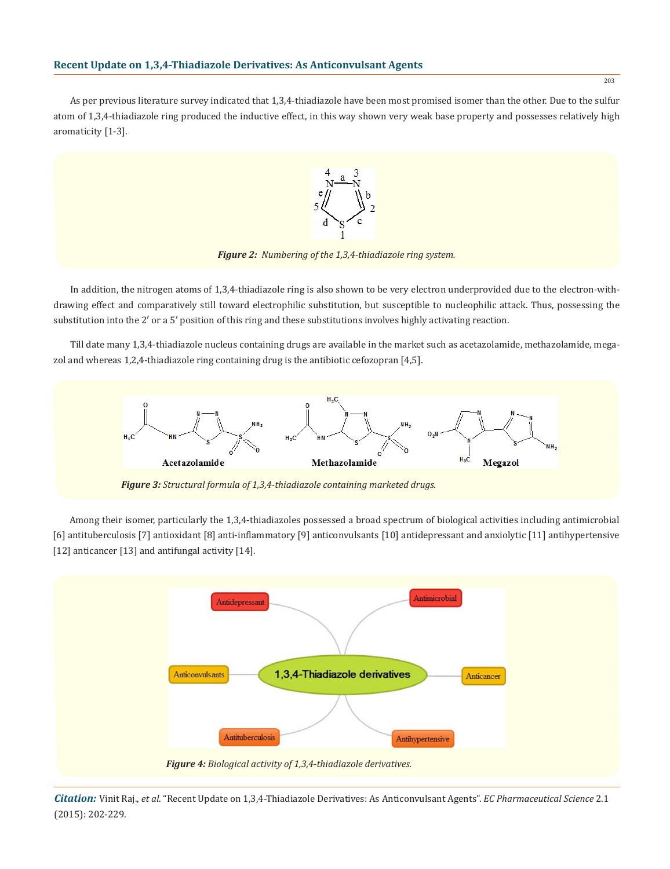

*Figure 2: Numbering of the 1,3,4-thiadiazole ring system.*

In addition, the nitrogen atoms of 1,3,4-thiadiazole ring is also shown to be very electron underprovided due to the electron-withdrawing effect and comparatively still toward electrophilic substitution, but susceptible to nucleophilic attack. Thus, possessing the substitution into the 2′ or a 5' position of this ring and these substitutions involves highly activating reaction.

Till date many 1,3,4-thiadiazole nucleus containing drugs are available in the market such as acetazolamide, methazolamide, megazol and whereas 1,2,4-thiadiazole ring containing drug is the antibiotic cefozopran [4,5].



*Figure 3: Structural formula of 1,3,4-thiadiazole containing marketed drugs.*

Among their isomer, particularly the 1,3,4-thiadiazoles possessed a broad spectrum of biological activities including antimicrobial [6] antituberculosis [7] antioxidant [8] anti-inflammatory [9] anticonvulsants [10] antidepressant and anxiolytic [11] antihypertensive [12] anticancer [13] and antifungal activity [14].



*Citation:* Vinit Raj., *et al*. "Recent Update on 1,3,4-Thiadiazole Derivatives: As Anticonvulsant Agents". *EC Pharmaceutical Science* 2.1 (2015): 202-229.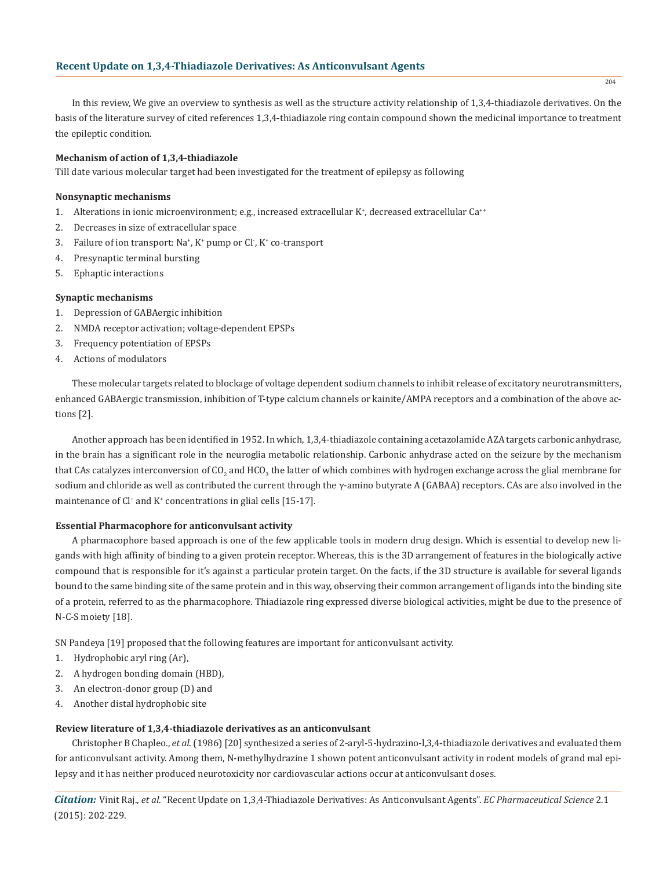In this review, We give an overview to synthesis as well as the structure activity relationship of 1,3,4-thiadiazole derivatives. On the basis of the literature survey of cited references 1,3,4-thiadiazole ring contain compound shown the medicinal importance to treatment the epileptic condition.

#### **Mechanism of action of 1,3,4-thiadiazole**

Till date various molecular target had been investigated for the treatment of epilepsy as following

#### **Nonsynaptic mechanisms**

- 1. Alterations in ionic microenvironment; e.g., increased extracellular K<sup>+</sup>, decreased extracellular Ca<sup>++</sup>
- 2. Decreases in size of extracellular space
- 3. Failure of ion transport: Na<sup>+</sup>, K<sup>+</sup> pump or Cl<sup>-</sup>, K<sup>+</sup> co-transport
- 4. Presynaptic terminal bursting
- 5. Ephaptic interactions

### **Synaptic mechanisms**

- 1. Depression of GABAergic inhibition
- 2. NMDA receptor activation; voltage-dependent EPSPs
- 3. Frequency potentiation of EPSPs
- 4. Actions of modulators

These molecular targets related to blockage of voltage dependent sodium channels to inhibit release of excitatory neurotransmitters, enhanced GABAergic transmission, inhibition of T-type calcium channels or kainite/AMPA receptors and a combination of the above actions [2].

Another approach has been identified in 1952. In which, 1,3,4-thiadiazole containing acetazolamide AZA targets carbonic anhydrase, in the brain has a significant role in the neuroglia metabolic relationship. Carbonic anhydrase acted on the seizure by the mechanism that CAs catalyzes interconversion of CO<sub>2</sub> and HCO<sub>3</sub> the latter of which combines with hydrogen exchange across the glial membrane for sodium and chloride as well as contributed the current through the γ-amino butyrate A (GABAA) receptors. CAs are also involved in the maintenance of Cl<sup>−</sup> and K<sup>+</sup> concentrations in glial cells [15-17].

#### **Essential Pharmacophore for anticonvulsant activity**

A pharmacophore based approach is one of the few applicable tools in modern drug design. Which is essential to develop new ligands with high affinity of binding to a given protein receptor. Whereas, this is the 3D arrangement of features in the biologically active compound that is responsible for it's against a particular protein target. On the facts, if the 3D structure is available for several ligands bound to the same binding site of the same protein and in this way, observing their common arrangement of ligands into the binding site of a protein, referred to as the pharmacophore. Thiadiazole ring expressed diverse biological activities, might be due to the presence of N-C-S moiety [18].

SN Pandeya [19] proposed that the following features are important for anticonvulsant activity.

- 1. Hydrophobic aryl ring (Ar),
- 2. A hydrogen bonding domain (HBD),
- 3. An electron-donor group (D) and
- 4. Another distal hydrophobic site

## **Review literature of 1,3,4-thiadiazole derivatives as an anticonvulsant**

Christopher B Chapleo., *et al*. (1986) [20] synthesized a series of 2-aryl-5-hydrazino-l,3,4-thiadiazole derivatives and evaluated them for anticonvulsant activity. Among them, N-methylhydrazine 1 shown potent anticonvulsant activity in rodent models of grand mal epilepsy and it has neither produced neurotoxicity nor cardiovascular actions occur at anticonvulsant doses.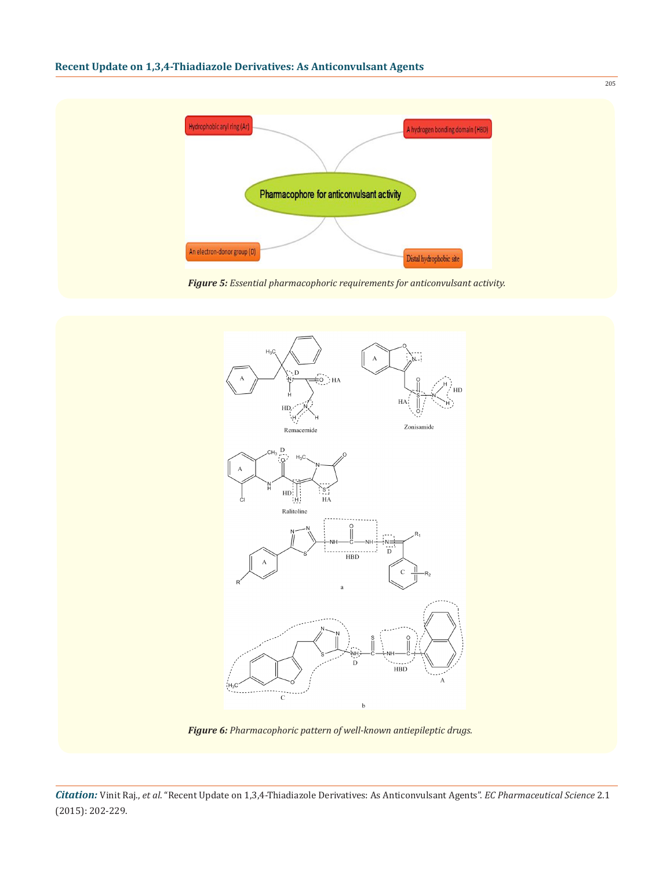

*Figure 5: Essential pharmacophoric requirements for anticonvulsant activity.*



*Figure 6: Pharmacophoric pattern of well-known antiepileptic drugs.*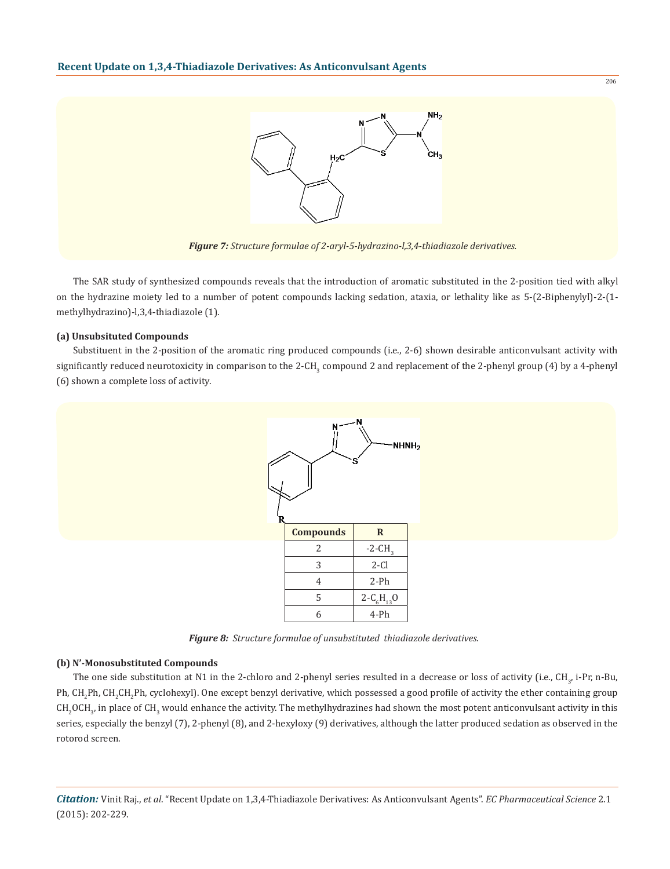

The SAR study of synthesized compounds reveals that the introduction of aromatic substituted in the 2-position tied with alkyl on the hydrazine moiety led to a number of potent compounds lacking sedation, ataxia, or lethality like as 5-(2-Biphenylyl)-2-(1 methylhydrazino)-l,3,4-thiadiazole (1).

## **(a) Unsubsituted Compounds**

Substituent in the 2-position of the aromatic ring produced compounds (i.e., 2-6) shown desirable anticonvulsant activity with significantly reduced neurotoxicity in comparison to the 2-CH<sub>3</sub> compound 2 and replacement of the 2-phenyl group (4) by a 4-phenyl (6) shown a complete loss of activity.



*Figure 8: Structure formulae of unsubstituted thiadiazole derivatives.*

#### **(b) N'-Monosubstituted Compounds**

The one side substitution at N1 in the 2-chloro and 2-phenyl series resulted in a decrease or loss of activity (i.e., CH<sub>3</sub>, i-Pr, n-Bu, Ph, CH<sub>2</sub>Ph, CH<sub>2</sub>CH<sub>2</sub>Ph, cyclohexyl). One except benzyl derivative, which possessed a good profile of activity the ether containing group  $\rm CH_{3'}$  in place of CH<sub>3</sub> would enhance the activity. The methylhydrazines had shown the most potent anticonvulsant activity in this series, especially the benzyl (7), 2-phenyl (8), and 2-hexyloxy (9) derivatives, although the latter produced sedation as observed in the rotorod screen.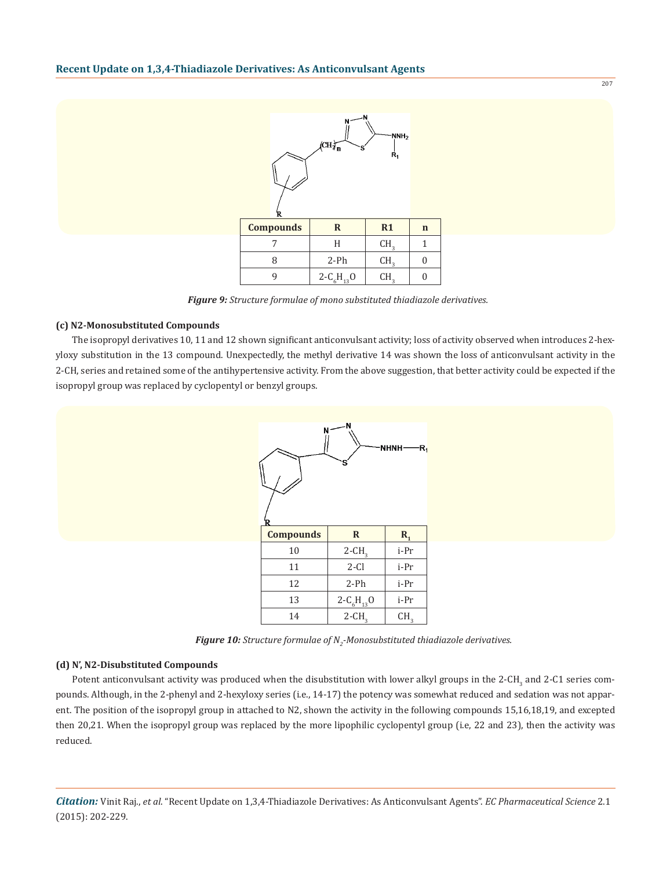

*Figure 9: Structure formulae of mono substituted thiadiazole derivatives.*

#### **(c) N2-Monosubstituted Compounds**

The isopropyl derivatives 10, 11 and 12 shown significant anticonvulsant activity; loss of activity observed when introduces 2-hexyloxy substitution in the 13 compound. Unexpectedly, the methyl derivative 14 was shown the loss of anticonvulsant activity in the 2-CH, series and retained some of the antihypertensive activity. From the above suggestion, that better activity could be expected if the isopropyl group was replaced by cyclopentyl or benzyl groups.



*Figure 10: Structure formulae of N2 -Monosubstituted thiadiazole derivatives.*

#### **(d) N', N2-Disubstituted Compounds**

Potent anticonvulsant activity was produced when the disubstitution with lower alkyl groups in the 2-CH<sub>3</sub> and 2-C1 series compounds. Although, in the 2-phenyl and 2-hexyloxy series (i.e., 14-17) the potency was somewhat reduced and sedation was not apparent. The position of the isopropyl group in attached to N2, shown the activity in the following compounds 15,16,18,19, and excepted then 20,21. When the isopropyl group was replaced by the more lipophilic cyclopentyl group (i.e, 22 and 23), then the activity was reduced.

*Citation:* Vinit Raj., *et al*. "Recent Update on 1,3,4-Thiadiazole Derivatives: As Anticonvulsant Agents". *EC Pharmaceutical Science* 2.1 (2015): 202-229.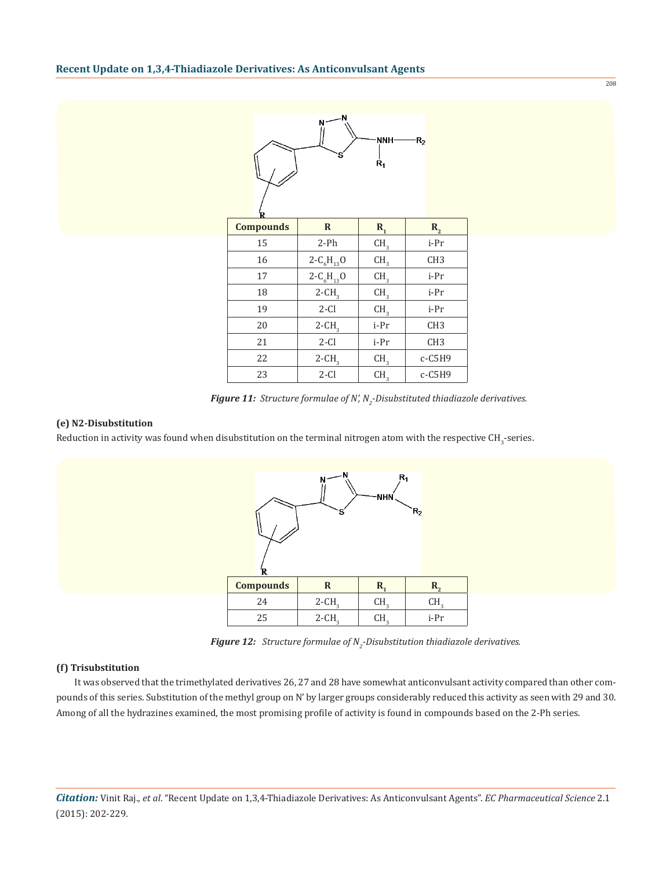|                  | N                    | NNH-<br>$\dot{\mathsf{R}}_1$ | $R_{2}$         |
|------------------|----------------------|------------------------------|-----------------|
| <b>Compounds</b> | $\mathbf R$          | $R_{1}$                      | $R_{2}$         |
| 15               | $2-Ph$               | CH <sub>3</sub>              | i-Pr            |
| 16               | $2 - C_6H_{13}O$     | CH <sub>3</sub>              | CH <sub>3</sub> |
| 17               | $2 - C_6H_{13}O$     | CH <sub>3</sub>              | i-Pr            |
| 18               | $2$ -CH <sub>3</sub> | CH <sub>3</sub>              | i-Pr            |
| 19               | $2-Cl$               | CH <sub>3</sub>              | i-Pr            |
| $20\,$           | $2$ -CH <sub>3</sub> | i-Pr                         | CH <sub>3</sub> |
| 21               | $2-Cl$               | i-Pr                         | CH <sub>3</sub> |
| 22               | $2$ -CH <sub>3</sub> | CH <sub>3</sub>              | $c$ -C5H9       |
| 23               | $2-Cl$               | CH <sub>3</sub>              | $c-C5H9$        |

*Figure 11: Structure formulae of N', N2 -Disubstituted thiadiazole derivatives.*

## **(e) N2-Disubstitution**

Reduction in activity was found when disubstitution on the terminal nitrogen atom with the respective CH<sub>3</sub>-series.



**Figure 12:** Structure formulae of N<sub>2</sub>-Disubstitution thiadiazole derivatives.

#### **(f) Trisubstitution**

 It was observed that the trimethylated derivatives 26, 27 and 28 have somewhat anticonvulsant activity compared than other compounds of this series. Substitution of the methyl group on N' by larger groups considerably reduced this activity as seen with 29 and 30. Among of all the hydrazines examined, the most promising profile of activity is found in compounds based on the 2-Ph series.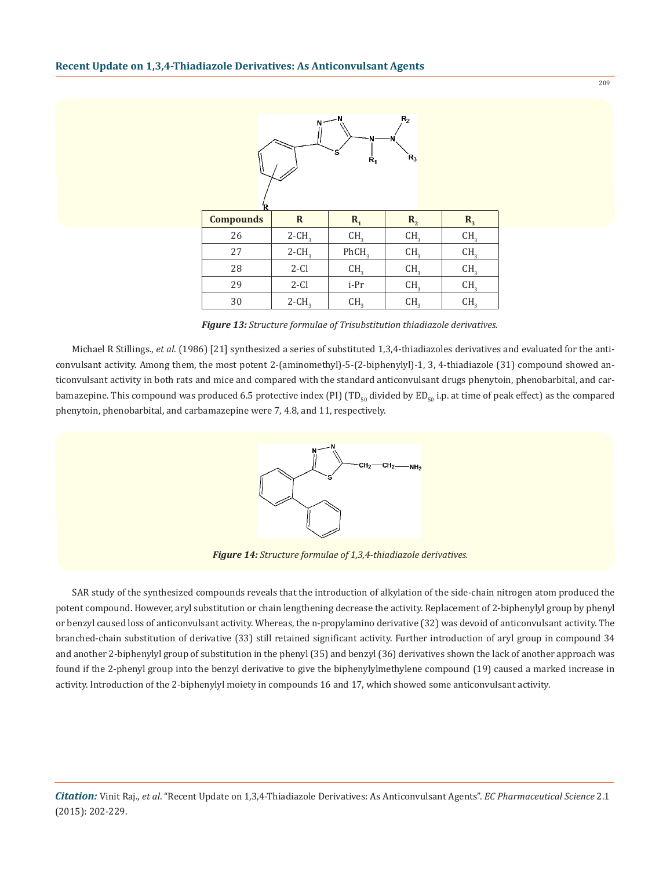

*Figure 13: Structure formulae of Trisubstitution thiadiazole derivatives.*

Michael R Stillings., *et al*. (1986) [21] synthesized a series of substituted 1,3,4-thiadiazoles derivatives and evaluated for the anticonvulsant activity. Among them, the most potent 2-(aminomethyl)-5-(2-biphenylyl)-1, 3, 4-thiadiazole (31) compound showed anticonvulsant activity in both rats and mice and compared with the standard anticonvulsant drugs phenytoin, phenobarbital, and carbamazepine. This compound was produced 6.5 protective index (PI) (TD<sub>50</sub> divided by ED<sub>50</sub> i.p. at time of peak effect) as the compared phenytoin, phenobarbital, and carbamazepine were 7, 4.8, and 11, respectively.



*Figure 14: Structure formulae of 1,3,4-thiadiazole derivatives.*

SAR study of the synthesized compounds reveals that the introduction of alkylation of the side-chain nitrogen atom produced the potent compound. However, aryl substitution or chain lengthening decrease the activity. Replacement of 2-biphenylyl group by phenyl or benzyl caused loss of anticonvulsant activity. Whereas, the n-propylamino derivative (32) was devoid of anticonvulsant activity. The branched-chain substitution of derivative (33) still retained significant activity. Further introduction of aryl group in compound 34 and another 2-biphenylyl group of substitution in the phenyl (35) and benzyl (36) derivatives shown the lack of another approach was found if the 2-phenyl group into the benzyl derivative to give the biphenylylmethylene compound (19) caused a marked increase in activity. Introduction of the 2-biphenylyl moiety in compounds 16 and 17, which showed some anticonvulsant activity.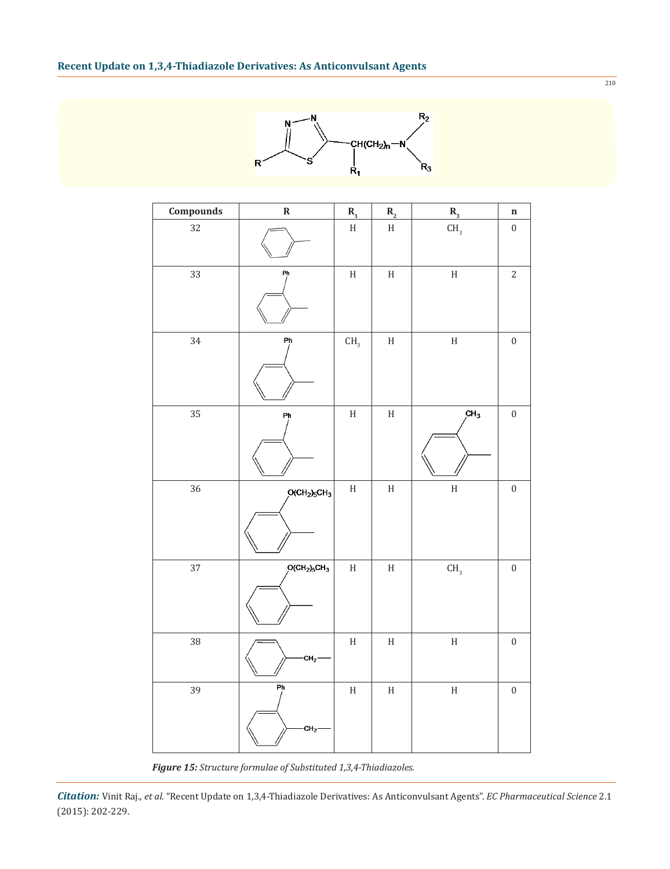

| Compounds | $\pmb{\mathsf{R}}$                | $\mathbf{R}_{\mathbf{1}}$ | $\mathbf{R}_{\scriptscriptstyle{2}}$ | $\mathbf{R}_{_3}$         | $\mathbf n$      |
|-----------|-----------------------------------|---------------------------|--------------------------------------|---------------------------|------------------|
| 32        |                                   | $\boldsymbol{\mathrm{H}}$ | $\boldsymbol{\mathrm{H}}$            | CH <sub>3</sub>           | $\boldsymbol{0}$ |
| 33        | Ph                                | $\boldsymbol{\mathrm{H}}$ | $\boldsymbol{\rm H}$                 | $\boldsymbol{\mathrm{H}}$ | $\overline{c}$   |
| 34        | Ph                                | CH <sub>3</sub>           | $\boldsymbol{\mathrm{H}}$            | $\boldsymbol{\rm H}$      | $\boldsymbol{0}$ |
| 35        | Ph                                | $\boldsymbol{\mathrm{H}}$ | $\boldsymbol{\mathrm{H}}$            | CH <sub>3</sub>           | $\boldsymbol{0}$ |
| 36        | $O(CH2)5CH3$                      | $\boldsymbol{\mathrm{H}}$ | $\boldsymbol{\mathrm{H}}$            | $\rm H$                   | $\boldsymbol{0}$ |
| 37        | $O(CH2)5CH3$                      | $\boldsymbol{\mathrm{H}}$ | $\boldsymbol{\rm H}$                 | $\mathsf{CH}_3$           | $\boldsymbol{0}$ |
| 38        | $CH2$ -                           | $\boldsymbol{\mathrm{H}}$ | $\rm H$                              | $\boldsymbol{\rm H}$      | $\boldsymbol{0}$ |
| 39        | $\overline{P}$<br>CH <sub>2</sub> | $\boldsymbol{\mathrm{H}}$ | $\boldsymbol{\rm H}$                 | $\boldsymbol{\mathrm{H}}$ | $\boldsymbol{0}$ |

*Figure 15: Structure formulae of Substituted 1,3,4-Thiadiazoles.*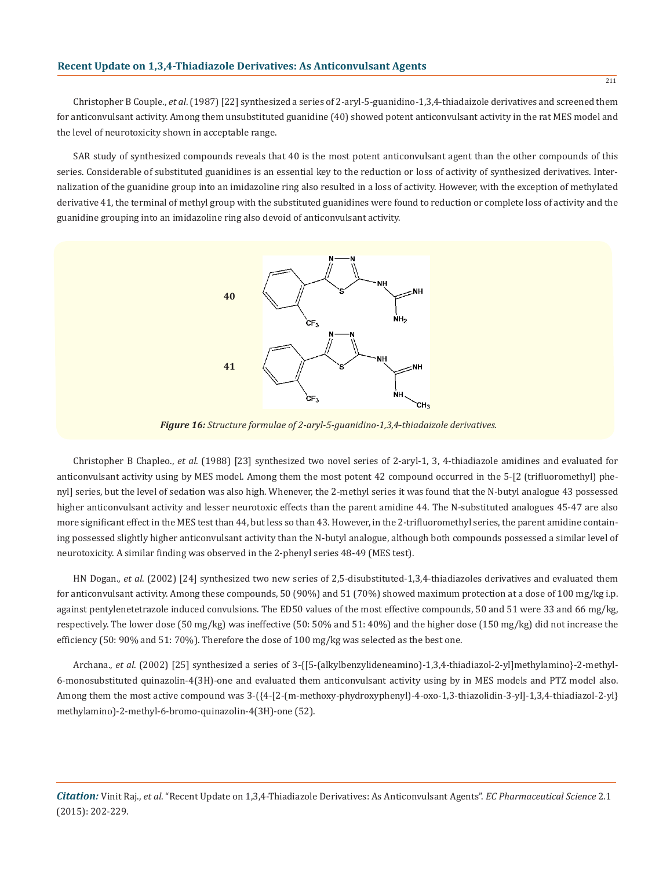Christopher B Couple., *et al*. (1987) [22] synthesized a series of 2-aryl-5-guanidino-1,3,4-thiadaizole derivatives and screened them for anticonvulsant activity. Among them unsubstituted guanidine (40) showed potent anticonvulsant activity in the rat MES model and the level of neurotoxicity shown in acceptable range.

SAR study of synthesized compounds reveals that 40 is the most potent anticonvulsant agent than the other compounds of this series. Considerable of substituted guanidines is an essential key to the reduction or loss of activity of synthesized derivatives. Internalization of the guanidine group into an imidazoline ring also resulted in a loss of activity. However, with the exception of methylated derivative 41, the terminal of methyl group with the substituted guanidines were found to reduction or complete loss of activity and the guanidine grouping into an imidazoline ring also devoid of anticonvulsant activity.



*Figure 16: Structure formulae of 2-aryl-5-guanidino-1,3,4-thiadaizole derivatives.*

Christopher B Chapleo., *et al*. (1988) [23] synthesized two novel series of 2-aryl-1, 3, 4-thiadiazole amidines and evaluated for anticonvulsant activity using by MES model. Among them the most potent 42 compound occurred in the 5-[2 (trifluoromethyl) phenyl] series, but the level of sedation was also high. Whenever, the 2-methyl series it was found that the N-butyl analogue 43 possessed higher anticonvulsant activity and lesser neurotoxic effects than the parent amidine 44. The N-substituted analogues 45-47 are also more significant effect in the MES test than 44, but less so than 43. However, in the 2-trifluoromethyl series, the parent amidine containing possessed slightly higher anticonvulsant activity than the N-butyl analogue, although both compounds possessed a similar level of neurotoxicity. A similar finding was observed in the 2-phenyl series 48-49 (MES test).

HN Dogan., *et al*. (2002) [24] synthesized two new series of 2,5-disubstituted-1,3,4-thiadiazoles derivatives and evaluated them for anticonvulsant activity. Among these compounds, 50 (90%) and 51 (70%) showed maximum protection at a dose of 100 mg/kg i.p. against pentylenetetrazole induced convulsions. The ED50 values of the most effective compounds, 50 and 51 were 33 and 66 mg/kg, respectively. The lower dose (50 mg/kg) was ineffective (50: 50% and 51: 40%) and the higher dose (150 mg/kg) did not increase the efficiency (50: 90% and 51: 70%). Therefore the dose of 100 mg/kg was selected as the best one.

Archana., *et al*. (2002) [25] synthesized a series of 3-{[5-(alkylbenzylideneamino)-1,3,4-thiadiazol-2-yl]methylamino}-2-methyl-6-monosubstituted quinazolin-4(3H)-one and evaluated them anticonvulsant activity using by in MES models and PTZ model also. Among them the most active compound was 3-({4-[2-(m-methoxy-phydroxyphenyl)-4-oxo-1,3-thiazolidin-3-yl]-1,3,4-thiadiazol-2-yl} methylamino)-2-methyl-6-bromo-quinazolin-4(3H)-one (52).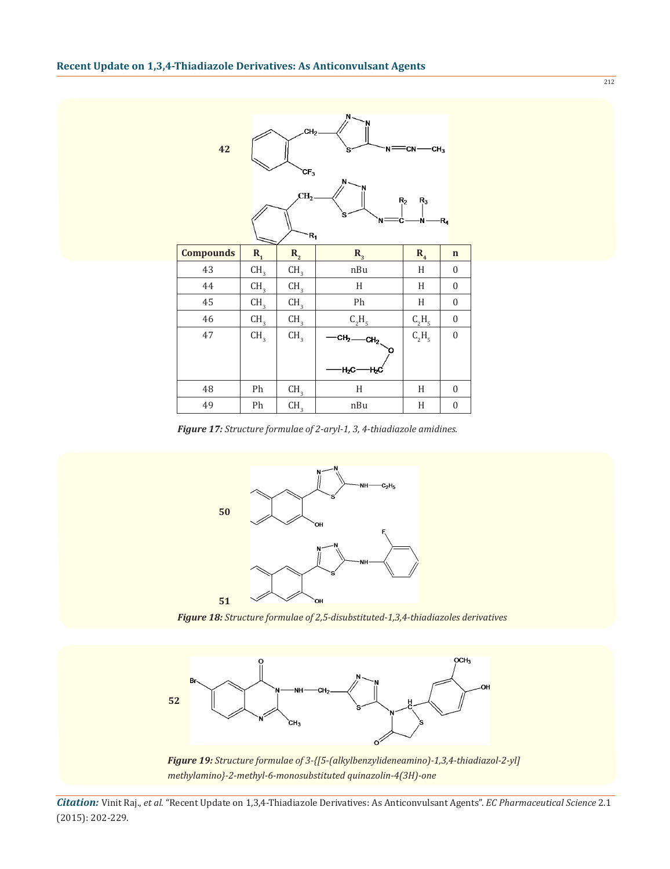| 42               |                 | CH <sub>2</sub><br>CF <sub>3</sub><br>CH <sub>2</sub><br>R, | $N -$<br>NF<br>'s<br>N<br>`s       | =CN-<br>CH <sub>3</sub><br>R <sub>2</sub><br>$R_3$<br>۰Ń۰ | $R_4$            |
|------------------|-----------------|-------------------------------------------------------------|------------------------------------|-----------------------------------------------------------|------------------|
| <b>Compounds</b> | $R_{1}$         | $R_{2}$                                                     | $R_{3}$                            | R <sub>4</sub>                                            | $\mathbf n$      |
| 43               | CH <sub>3</sub> | CH <sub>3</sub>                                             | nBu                                | $\,$ H                                                    | $\boldsymbol{0}$ |
| 44               | CH <sub>3</sub> | CH <sub>3</sub>                                             | H                                  | H                                                         | $\boldsymbol{0}$ |
| 45               | CH <sub>3</sub> | CH <sub>3</sub>                                             | Ph                                 | $\,$ H                                                    | $\boldsymbol{0}$ |
| 46               | CH <sub>3</sub> | CH <sub>3</sub>                                             | $C_2H_5$                           | $C_2H_5$                                                  | $\boldsymbol{0}$ |
| 47               | CH <sub>3</sub> | CH <sub>3</sub>                                             | $CH2$ <sub>2</sub><br>$H_2C$<br>ΉС | $C_2H_5$                                                  | $\boldsymbol{0}$ |
| 48               | Ph              | CH <sub>3</sub>                                             | H                                  | H                                                         | $\boldsymbol{0}$ |
| 49               | Ph              | CH <sub>3</sub>                                             | nBu                                | $\,$ H                                                    | $\boldsymbol{0}$ |

*Figure 17: Structure formulae of 2-aryl-1, 3, 4-thiadiazole amidines.*



*Figure 18: Structure formulae of 2,5-disubstituted-1,3,4-thiadiazoles derivatives*



*Citation:* Vinit Raj., *et al*. "Recent Update on 1,3,4-Thiadiazole Derivatives: As Anticonvulsant Agents". *EC Pharmaceutical Science* 2.1 (2015): 202-229.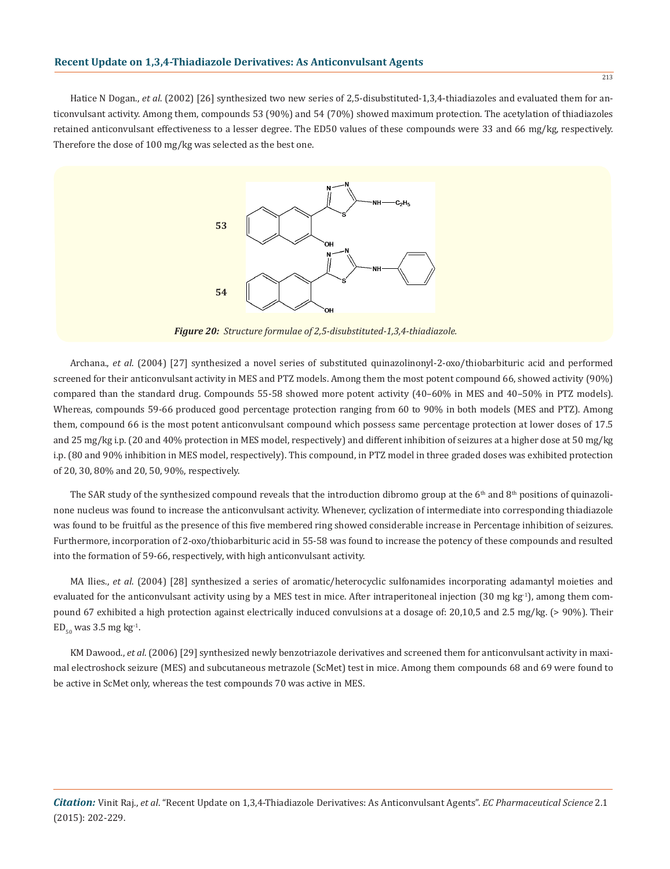Hatice N Dogan., *et al.* (2002) [26] synthesized two new series of 2,5-disubstituted-1,3,4-thiadiazoles and evaluated them for anticonvulsant activity. Among them, compounds 53 (90%) and 54 (70%) showed maximum protection. The acetylation of thiadiazoles retained anticonvulsant effectiveness to a lesser degree. The ED50 values of these compounds were 33 and 66 mg/kg, respectively. Therefore the dose of 100 mg/kg was selected as the best one.



*Figure 20: Structure formulae of 2,5-disubstituted-1,3,4-thiadiazole.*

Archana., *et al*. (2004) [27] synthesized a novel series of substituted quinazolinonyl-2-oxo/thiobarbituric acid and performed screened for their anticonvulsant activity in MES and PTZ models. Among them the most potent compound 66, showed activity (90%) compared than the standard drug. Compounds 55-58 showed more potent activity (40–60% in MES and 40–50% in PTZ models). Whereas, compounds 59-66 produced good percentage protection ranging from 60 to 90% in both models (MES and PTZ). Among them, compound 66 is the most potent anticonvulsant compound which possess same percentage protection at lower doses of 17.5 and 25 mg/kg i.p. (20 and 40% protection in MES model, respectively) and different inhibition of seizures at a higher dose at 50 mg/kg i.p. (80 and 90% inhibition in MES model, respectively). This compound, in PTZ model in three graded doses was exhibited protection of 20, 30, 80% and 20, 50, 90%, respectively.

The SAR study of the synthesized compound reveals that the introduction dibromo group at the  $6<sup>th</sup>$  and  $8<sup>th</sup>$  positions of quinazolinone nucleus was found to increase the anticonvulsant activity. Whenever, cyclization of intermediate into corresponding thiadiazole was found to be fruitful as the presence of this five membered ring showed considerable increase in Percentage inhibition of seizures. Furthermore, incorporation of 2-oxo/thiobarbituric acid in 55-58 was found to increase the potency of these compounds and resulted into the formation of 59-66, respectively, with high anticonvulsant activity.

MA Ilies., *et al*. (2004) [28] synthesized a series of aromatic/heterocyclic sulfonamides incorporating adamantyl moieties and evaluated for the anticonvulsant activity using by a MES test in mice. After intraperitoneal injection  $(30 \text{ mg kg}^{-1})$ , among them compound 67 exhibited a high protection against electrically induced convulsions at a dosage of: 20,10,5 and 2.5 mg/kg. (> 90%). Their  $ED_{50}$  was 3.5 mg kg<sup>-1</sup>.

KM Dawood., *et al*. (2006) [29] synthesized newly benzotriazole derivatives and screened them for anticonvulsant activity in maximal electroshock seizure (MES) and subcutaneous metrazole (ScMet) test in mice. Among them compounds 68 and 69 were found to be active in ScMet only, whereas the test compounds 70 was active in MES.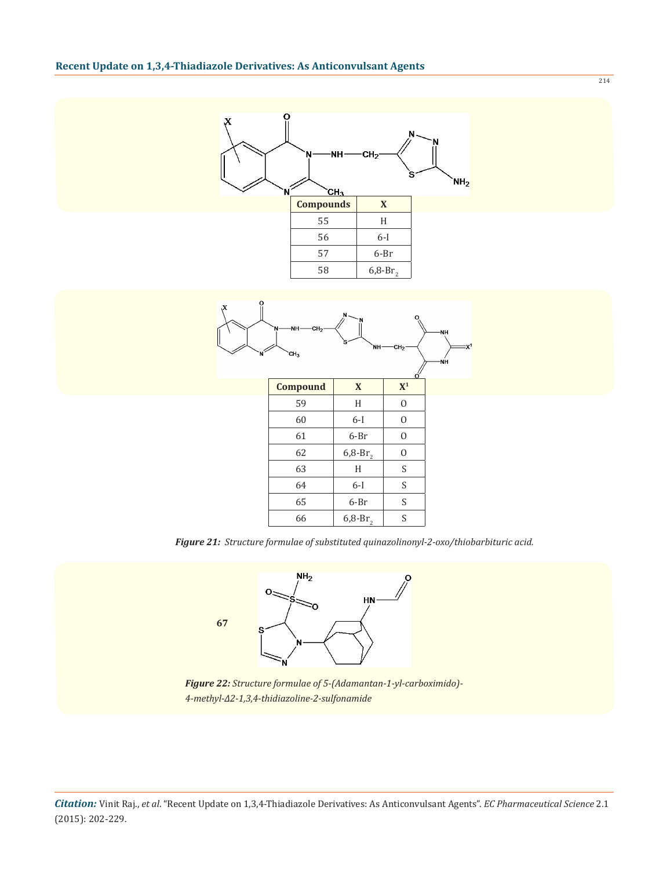

*Figure 21: Structure formulae of substituted quinazolinonyl-2-oxo/thiobarbituric acid.*



*Figure 22: Structure formulae of 5-(Adamantan-1-yl-carboximido)- 4-methyl-Δ2-1,3,4-thidiazoline-2-sulfonamide*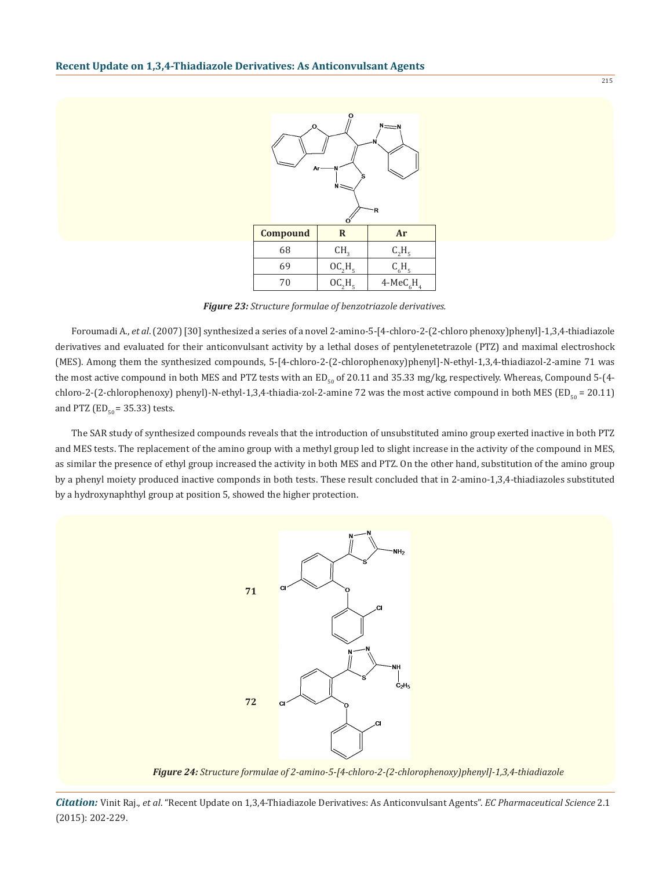

*Figure 23: Structure formulae of benzotriazole derivatives.*

Foroumadi A., *et al*. (2007) [30] synthesized a series of a novel 2-amino-5-[4-chloro-2-(2-chloro phenoxy)phenyl]-1,3,4-thiadiazole derivatives and evaluated for their anticonvulsant activity by a lethal doses of pentylenetetrazole (PTZ) and maximal electroshock (MES). Among them the synthesized compounds, 5-[4-chloro-2-(2-chlorophenoxy)phenyl]-N-ethyl-1,3,4-thiadiazol-2-amine 71 was the most active compound in both MES and PTZ tests with an  $ED_{50}$  of 20.11 and 35.33 mg/kg, respectively. Whereas, Compound 5-(4chloro-2-(2-chlorophenoxy) phenyl)-N-ethyl-1,3,4-thiadia-zol-2-amine 72 was the most active compound in both MES (ED $_{50}$  = 20.11) and PTZ ( $ED_{50} = 35.33$ ) tests.

The SAR study of synthesized compounds reveals that the introduction of unsubstituted amino group exerted inactive in both PTZ and MES tests. The replacement of the amino group with a methyl group led to slight increase in the activity of the compound in MES, as similar the presence of ethyl group increased the activity in both MES and PTZ. On the other hand, substitution of the amino group by a phenyl moiety produced inactive componds in both tests. These result concluded that in 2-amino-1,3,4-thiadiazoles substituted by a hydroxynaphthyl group at position 5, showed the higher protection.



*Figure 24: Structure formulae of 2-amino-5-[4-chloro-2-(2-chlorophenoxy)phenyl]-1,3,4-thiadiazole*

*Citation:* Vinit Raj., *et al*. "Recent Update on 1,3,4-Thiadiazole Derivatives: As Anticonvulsant Agents". *EC Pharmaceutical Science* 2.1 (2015): 202-229.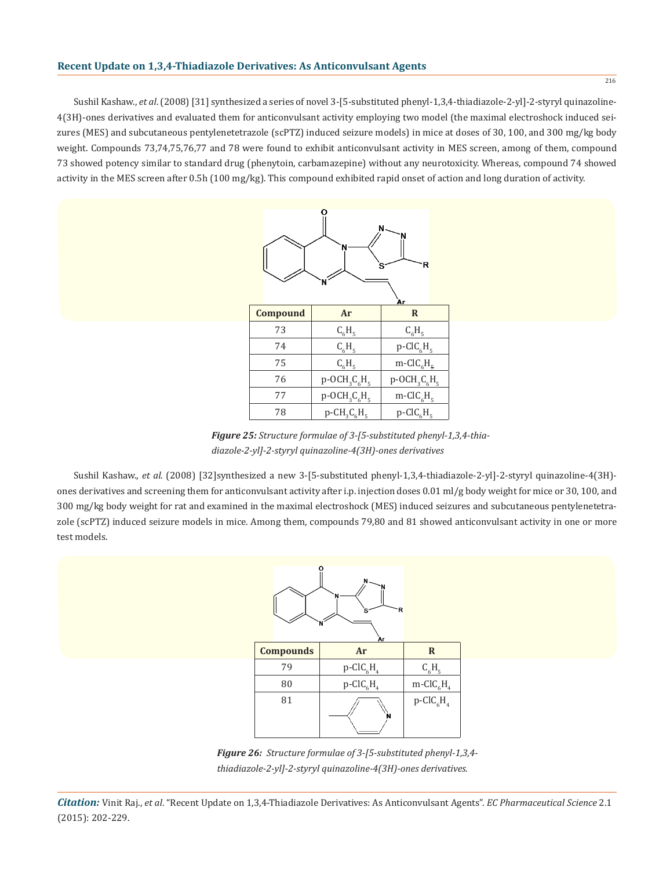Sushil Kashaw., *et al*. (2008) [31] synthesized a series of novel 3-[5-substituted phenyl-1,3,4-thiadiazole-2-yl]-2-styryl quinazoline-4(3H)-ones derivatives and evaluated them for anticonvulsant activity employing two model (the maximal electroshock induced seizures (MES) and subcutaneous pentylenetetrazole (scPTZ) induced seizure models) in mice at doses of 30, 100, and 300 mg/kg body weight. Compounds 73,74,75,76,77 and 78 were found to exhibit anticonvulsant activity in MES screen, among of them, compound 73 showed potency similar to standard drug (phenytoin, carbamazepine) without any neurotoxicity. Whereas, compound 74 showed activity in the MES screen after 0.5h (100 mg/kg). This compound exhibited rapid onset of action and long duration of activity.



*Figure 25: Structure formulae of 3-[5-substituted phenyl-1,3,4-thiadiazole-2-yl]-2-styryl quinazoline-4(3H)-ones derivatives*

Sushil Kashaw., *et al*. (2008) [32]synthesized a new 3-[5-substituted phenyl-1,3,4-thiadiazole-2-yl]-2-styryl quinazoline-4(3H) ones derivatives and screening them for anticonvulsant activity after i.p. injection doses 0.01 ml/g body weight for mice or 30, 100, and 300 mg/kg body weight for rat and examined in the maximal electroshock (MES) induced seizures and subcutaneous pentylenetetrazole (scPTZ) induced seizure models in mice. Among them, compounds 79,80 and 81 showed anticonvulsant activity in one or more test models.



*Figure 26: Structure formulae of 3-[5-substituted phenyl-1,3,4 thiadiazole-2-yl]-2-styryl quinazoline-4(3H)-ones derivatives.*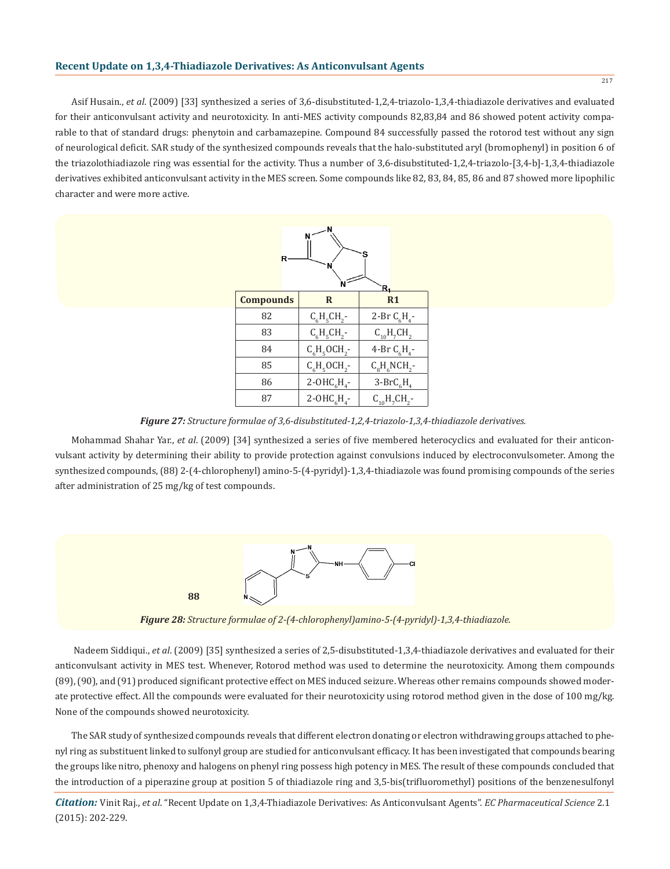Asif Husain., *et al*. (2009) [33] synthesized a series of 3,6-disubstituted-1,2,4-triazolo-1,3,4-thiadiazole derivatives and evaluated for their anticonvulsant activity and neurotoxicity. In anti-MES activity compounds 82,83,84 and 86 showed potent activity comparable to that of standard drugs: phenytoin and carbamazepine. Compound 84 successfully passed the rotorod test without any sign of neurological deficit. SAR study of the synthesized compounds reveals that the halo-substituted aryl (bromophenyl) in position 6 of the triazolothiadiazole ring was essential for the activity. Thus a number of 3,6-disubstituted-1,2,4-triazolo-[3,4-b]-1,3,4-thiadiazole derivatives exhibited anticonvulsant activity in the MES screen. Some compounds like 82, 83, 84, 85, 86 and 87 showed more lipophilic character and were more active.



*Figure 27: Structure formulae of 3,6-disubstituted-1,2,4-triazolo-1,3,4-thiadiazole derivatives.*

Mohammad Shahar Yar., *et al*. (2009) [34] synthesized a series of five membered heterocyclics and evaluated for their anticonvulsant activity by determining their ability to provide protection against convulsions induced by electroconvulsometer. Among the synthesized compounds, (88) 2-(4-chlorophenyl) amino-5-(4-pyridyl)-1,3,4-thiadiazole was found promising compounds of the series after administration of 25 mg/kg of test compounds.



*Figure 28: Structure formulae of 2-(4-chlorophenyl)amino-5-(4-pyridyl)-1,3,4-thiadiazole.*

 Nadeem Siddiqui., *et al*. (2009) [35] synthesized a series of 2,5-disubstituted-1,3,4-thiadiazole derivatives and evaluated for their anticonvulsant activity in MES test. Whenever, Rotorod method was used to determine the neurotoxicity. Among them compounds (89), (90), and (91) produced significant protective effect on MES induced seizure. Whereas other remains compounds showed moderate protective effect. All the compounds were evaluated for their neurotoxicity using rotorod method given in the dose of 100 mg/kg. None of the compounds showed neurotoxicity.

The SAR study of synthesized compounds reveals that different electron donating or electron withdrawing groups attached to phenyl ring as substituent linked to sulfonyl group are studied for anticonvulsant efficacy. It has been investigated that compounds bearing the groups like nitro, phenoxy and halogens on phenyl ring possess high potency in MES. The result of these compounds concluded that the introduction of a piperazine group at position 5 of thiadiazole ring and 3,5-bis(trifluoromethyl) positions of the benzenesulfonyl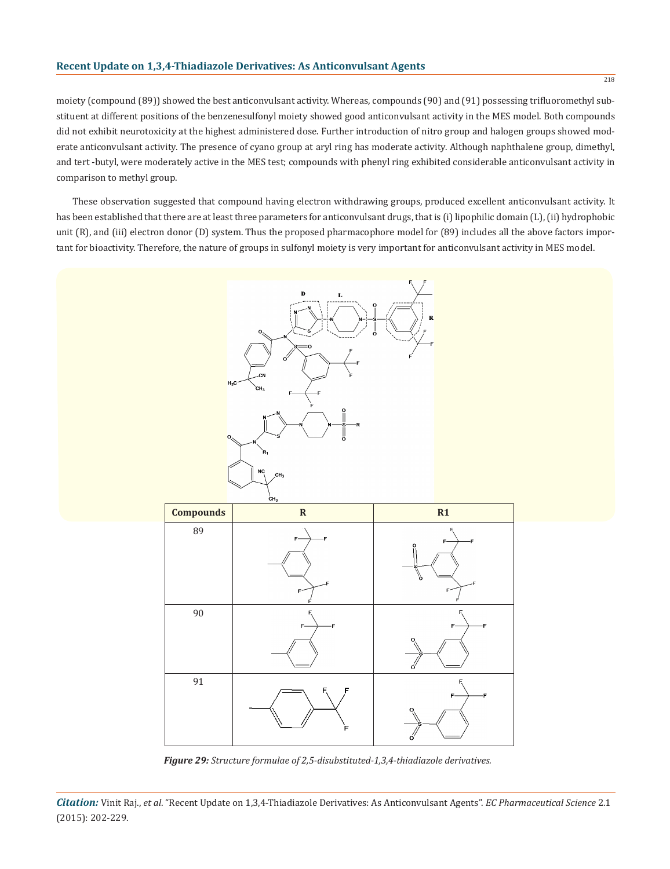#### **Recent Update on 1,3,4-Thiadiazole Derivatives: As Anticonvulsant Agents**

moiety (compound (89)) showed the best anticonvulsant activity. Whereas, compounds (90) and (91) possessing trifluoromethyl substituent at different positions of the benzenesulfonyl moiety showed good anticonvulsant activity in the MES model. Both compounds did not exhibit neurotoxicity at the highest administered dose. Further introduction of nitro group and halogen groups showed moderate anticonvulsant activity. The presence of cyano group at aryl ring has moderate activity. Although naphthalene group, dimethyl, and tert -butyl, were moderately active in the MES test; compounds with phenyl ring exhibited considerable anticonvulsant activity in comparison to methyl group.

These observation suggested that compound having electron withdrawing groups, produced excellent anticonvulsant activity. It has been established that there are at least three parameters for anticonvulsant drugs, that is (i) lipophilic domain (L), (ii) hydrophobic unit (R), and (iii) electron donor (D) system. Thus the proposed pharmacophore model for (89) includes all the above factors important for bioactivity. Therefore, the nature of groups in sulfonyl moiety is very important for anticonvulsant activity in MES model.



*Figure 29: Structure formulae of 2,5-disubstituted-1,3,4-thiadiazole derivatives.*

*Citation:* Vinit Raj., *et al*. "Recent Update on 1,3,4-Thiadiazole Derivatives: As Anticonvulsant Agents". *EC Pharmaceutical Science* 2.1 (2015): 202-229.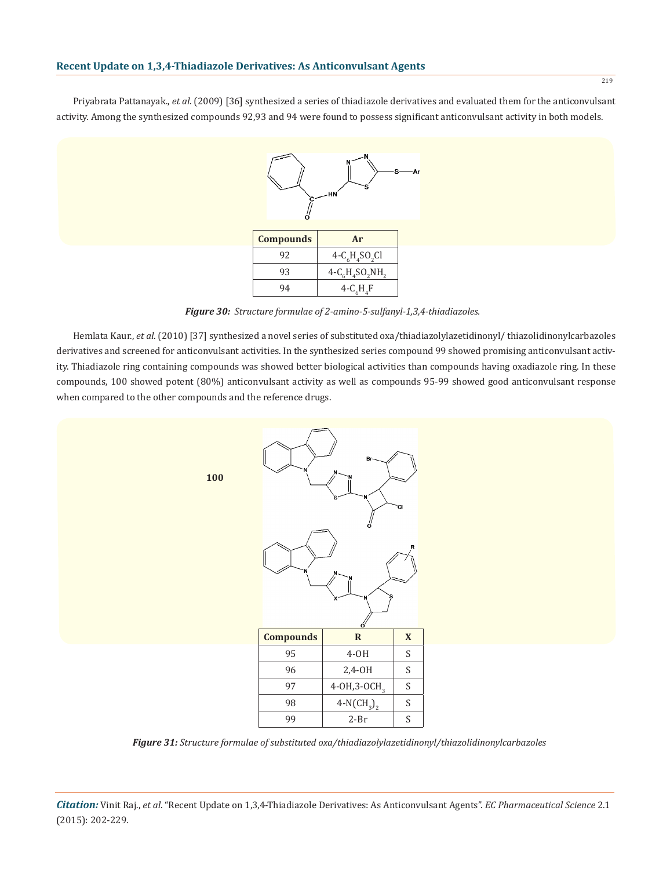Priyabrata Pattanayak., *et al*. (2009) [36] synthesized a series of thiadiazole derivatives and evaluated them for the anticonvulsant activity. Among the synthesized compounds 92,93 and 94 were found to possess significant anticonvulsant activity in both models.



| <b>Compounds</b> | Ar             |
|------------------|----------------|
| 92               | $4-C6H4SO2Cl$  |
| 93               | $4-C6H4SO2NH2$ |
| 94               | $4-CcHaF$      |

*Figure 30: Structure formulae of 2-amino-5-sulfanyl-1,3,4-thiadiazoles.*

Hemlata Kaur., *et al*. (2010) [37] synthesized a novel series of substituted oxa/thiadiazolylazetidinonyl/ thiazolidinonylcarbazoles derivatives and screened for anticonvulsant activities. In the synthesized series compound 99 showed promising anticonvulsant activity. Thiadiazole ring containing compounds was showed better biological activities than compounds having oxadiazole ring. In these compounds, 100 showed potent (80%) anticonvulsant activity as well as compounds 95-99 showed good anticonvulsant response when compared to the other compounds and the reference drugs.



*Figure 31: Structure formulae of substituted oxa/thiadiazolylazetidinonyl/thiazolidinonylcarbazoles*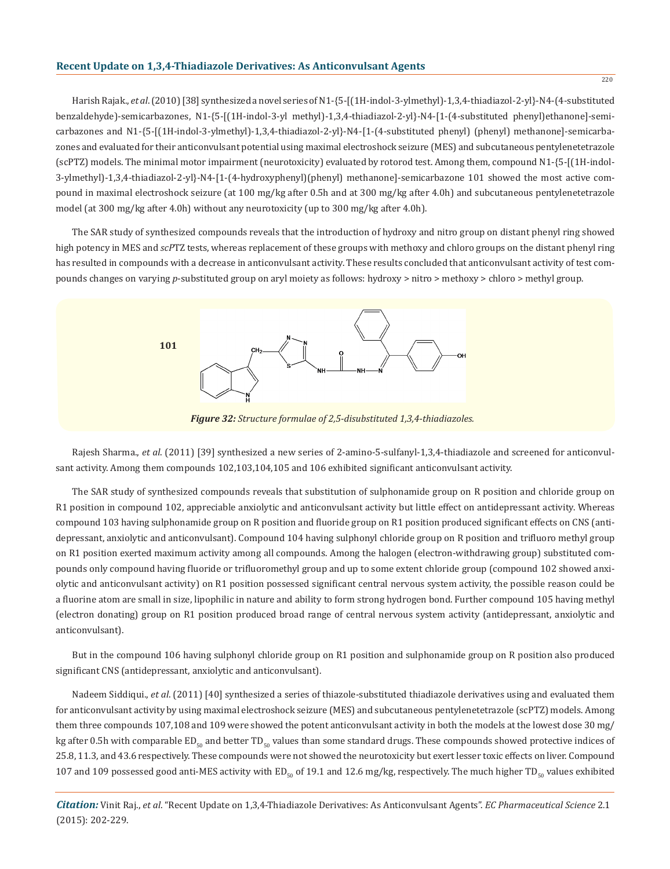Harish Rajak., *et al*. (2010) [38] synthesized a novel series of N1-{5-[(1H-indol-3-ylmethyl)-1,3,4-thiadiazol-2-yl}-N4-(4-substituted benzaldehyde)-semicarbazones, N1-{5-[(1H-indol-3-yl methyl)-1,3,4-thiadiazol-2-yl}-N4-[1-(4-substituted phenyl)ethanone]-semicarbazones and N1-{5-[(1H-indol-3-ylmethyl)-1,3,4-thiadiazol-2-yl}-N4-[1-(4-substituted phenyl) (phenyl) methanone]-semicarbazones and evaluated for their anticonvulsant potential using maximal electroshock seizure (MES) and subcutaneous pentylenetetrazole (scPTZ) models. The minimal motor impairment (neurotoxicity) evaluated by rotorod test. Among them, compound N1-{5-[(1H-indol-3-ylmethyl)-1,3,4-thiadiazol-2-yl}-N4-[1-(4-hydroxyphenyl)(phenyl) methanone]-semicarbazone 101 showed the most active compound in maximal electroshock seizure (at 100 mg/kg after 0.5h and at 300 mg/kg after 4.0h) and subcutaneous pentylenetetrazole model (at 300 mg/kg after 4.0h) without any neurotoxicity (up to 300 mg/kg after 4.0h).

The SAR study of synthesized compounds reveals that the introduction of hydroxy and nitro group on distant phenyl ring showed high potency in MES and *scP*TZ tests, whereas replacement of these groups with methoxy and chloro groups on the distant phenyl ring has resulted in compounds with a decrease in anticonvulsant activity. These results concluded that anticonvulsant activity of test compounds changes on varying *p*-substituted group on aryl moiety as follows: hydroxy > nitro > methoxy > chloro > methyl group.



*Figure 32: Structure formulae of 2,5-disubstituted 1,3,4-thiadiazoles.*

Rajesh Sharma., *et al*. (2011) [39] synthesized a new series of 2-amino-5-sulfanyl-1,3,4-thiadiazole and screened for anticonvulsant activity. Among them compounds 102,103,104,105 and 106 exhibited significant anticonvulsant activity.

The SAR study of synthesized compounds reveals that substitution of sulphonamide group on R position and chloride group on R1 position in compound 102, appreciable anxiolytic and anticonvulsant activity but little effect on antidepressant activity. Whereas compound 103 having sulphonamide group on R position and fluoride group on R1 position produced significant effects on CNS (antidepressant, anxiolytic and anticonvulsant). Compound 104 having sulphonyl chloride group on R position and trifluoro methyl group on R1 position exerted maximum activity among all compounds. Among the halogen (electron-withdrawing group) substituted compounds only compound having fluoride or trifluoromethyl group and up to some extent chloride group (compound 102 showed anxiolytic and anticonvulsant activity) on R1 position possessed significant central nervous system activity, the possible reason could be a fluorine atom are small in size, lipophilic in nature and ability to form strong hydrogen bond. Further compound 105 having methyl (electron donating) group on R1 position produced broad range of central nervous system activity (antidepressant, anxiolytic and anticonvulsant).

But in the compound 106 having sulphonyl chloride group on R1 position and sulphonamide group on R position also produced significant CNS (antidepressant, anxiolytic and anticonvulsant).

Nadeem Siddiqui., *et al*. (2011) [40] synthesized a series of thiazole-substituted thiadiazole derivatives using and evaluated them for anticonvulsant activity by using maximal electroshock seizure (MES) and subcutaneous pentylenetetrazole (scPTZ) models. Among them three compounds 107,108 and 109 were showed the potent anticonvulsant activity in both the models at the lowest dose 30 mg/ kg after 0.5h with comparable ED<sub>50</sub> and better TD<sub>50</sub> values than some standard drugs. These compounds showed protective indices of 25.8, 11.3, and 43.6 respectively. These compounds were not showed the neurotoxicity but exert lesser toxic effects on liver. Compound 107 and 109 possessed good anti-MES activity with ED<sub>50</sub> of 19.1 and 12.6 mg/kg, respectively. The much higher TD<sub>50</sub> values exhibited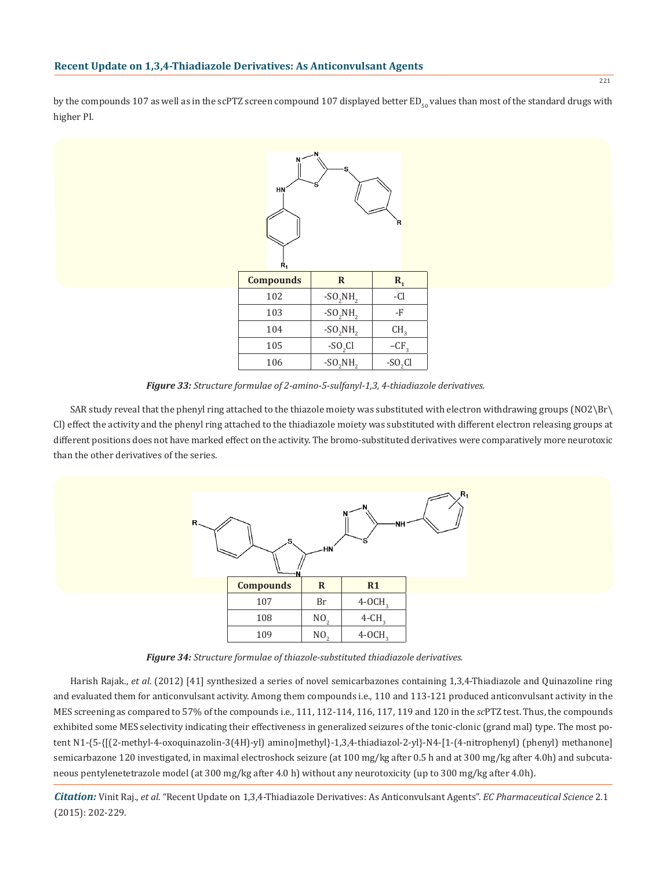by the compounds 107 as well as in the scPTZ screen compound 107 displayed better ED<sub> $\epsilon_0$ </sub> values than most of the standard drugs with higher PI.



*Figure 33: Structure formulae of 2-amino-5-sulfanyl-1,3, 4-thiadiazole derivatives.*

SAR study reveal that the phenyl ring attached to the thiazole moiety was substituted with electron withdrawing groups (NO2\Br\ Cl) effect the activity and the phenyl ring attached to the thiadiazole moiety was substituted with different electron releasing groups at different positions does not have marked effect on the activity. The bromo-substituted derivatives were comparatively more neurotoxic than the other derivatives of the series.



*Figure 34: Structure formulae of thiazole-substituted thiadiazole derivatives.*

Harish Rajak., *et al*. (2012) [41] synthesized a series of novel semicarbazones containing 1,3,4-Thiadiazole and Quinazoline ring and evaluated them for anticonvulsant activity. Among them compounds i.e., 110 and 113-121 produced anticonvulsant activity in the MES screening as compared to 57% of the compounds i.e., 111, 112-114, 116, 117, 119 and 120 in the *sc*PTZ test. Thus, the compounds exhibited some MES selectivity indicating their effectiveness in generalized seizures of the tonic-clonic (grand mal) type. The most potent N1-{5-{[(2-methyl-4-oxoquinazolin-3(4H)-yl) amino]methyl}-1,3,4-thiadiazol-2-yl}-N4-[1-(4-nitrophenyl) (phenyl) methanone] semicarbazone 120 investigated, in maximal electroshock seizure (at 100 mg/kg after 0.5 h and at 300 mg/kg after 4.0h) and subcutaneous pentylenetetrazole model (at 300 mg/kg after 4.0 h) without any neurotoxicity (up to 300 mg/kg after 4.0h).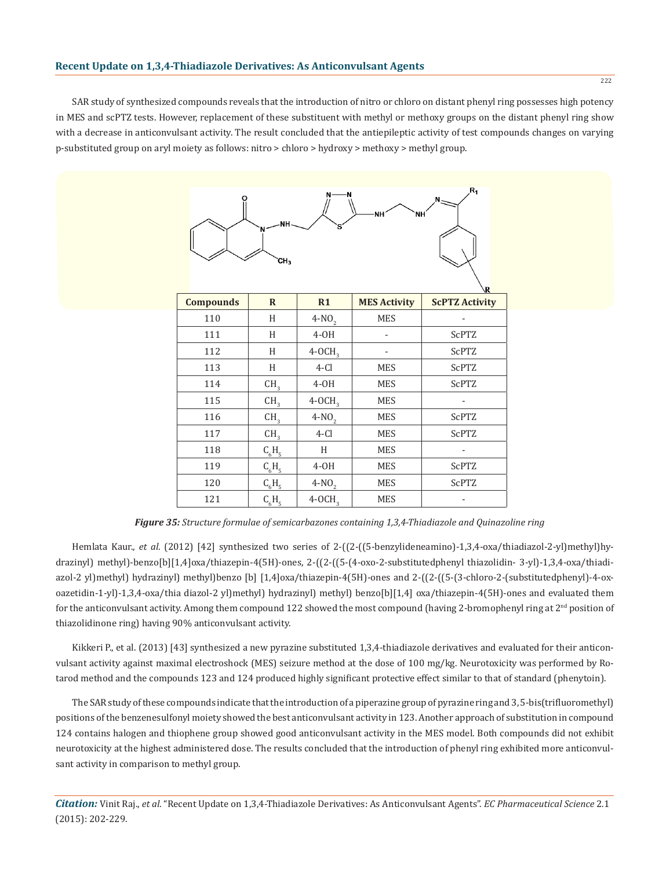SAR study of synthesized compounds reveals that the introduction of nitro or chloro on distant phenyl ring possesses high potency in MES and scPTZ tests. However, replacement of these substituent with methyl or methoxy groups on the distant phenyl ring show with a decrease in anticonvulsant activity. The result concluded that the antiepileptic activity of test compounds changes on varying p-substituted group on aryl moiety as follows: nitro > chloro > hydroxy > methoxy > methyl group.



*Figure 35: Structure formulae of semicarbazones containing 1,3,4-Thiadiazole and Quinazoline ring*

Hemlata Kaur., *et al*. (2012) [42] synthesized two series of 2-((2-((5-benzylideneamino)-1,3,4-oxa/thiadiazol-2-yl)methyl)hydrazinyl) methyl)-benzo[b][1,4]oxa/thiazepin-4(5H)-ones, 2-((2-((5-(4-oxo-2-substitutedphenyl thiazolidin- 3-yl)-1,3,4-oxa/thiadiazol-2 yl)methyl) hydrazinyl) methyl)benzo [b] [1,4]oxa/thiazepin-4(5H)-ones and 2-((2-((5-(3-chloro-2-(substitutedphenyl)-4-oxoazetidin-1-yl)-1,3,4-oxa/thia diazol-2 yl)methyl) hydrazinyl) methyl) benzo[b][1,4] oxa/thiazepin-4(5H)-ones and evaluated them for the anticonvulsant activity. Among them compound 122 showed the most compound (having 2-bromophenyl ring at  $2^{\text{nd}}$  position of thiazolidinone ring) having 90% anticonvulsant activity.

Kikkeri P., et al. (2013) [43] synthesized a new pyrazine substituted 1,3,4-thiadiazole derivatives and evaluated for their anticonvulsant activity against maximal electroshock (MES) seizure method at the dose of 100 mg/kg. Neurotoxicity was performed by Rotarod method and the compounds 123 and 124 produced highly significant protective effect similar to that of standard (phenytoin).

The SAR study of these compounds indicate that the introduction of a piperazine group of pyrazine ring and 3, 5-bis(trifluoromethyl) positions of the benzenesulfonyl moiety showed the best anticonvulsant activity in 123. Another approach of substitution in compound 124 contains halogen and thiophene group showed good anticonvulsant activity in the MES model. Both compounds did not exhibit neurotoxicity at the highest administered dose. The results concluded that the introduction of phenyl ring exhibited more anticonvulsant activity in comparison to methyl group.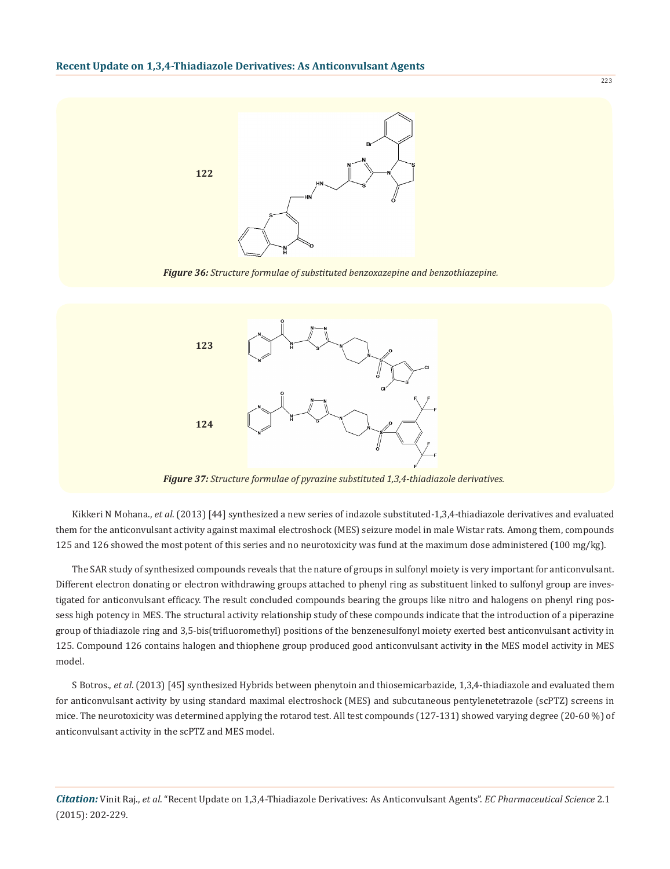

*Figure 36: Structure formulae of substituted benzoxazepine and benzothiazepine.*



Kikkeri N Mohana., *et al*. (2013) [44] synthesized a new series of indazole substituted-1,3,4-thiadiazole derivatives and evaluated them for the anticonvulsant activity against maximal electroshock (MES) seizure model in male Wistar rats. Among them, compounds 125 and 126 showed the most potent of this series and no neurotoxicity was fund at the maximum dose administered (100 mg/kg).

The SAR study of synthesized compounds reveals that the nature of groups in sulfonyl moiety is very important for anticonvulsant. Different electron donating or electron withdrawing groups attached to phenyl ring as substituent linked to sulfonyl group are investigated for anticonvulsant efficacy. The result concluded compounds bearing the groups like nitro and halogens on phenyl ring possess high potency in MES. The structural activity relationship study of these compounds indicate that the introduction of a piperazine group of thiadiazole ring and 3,5-bis(trifluoromethyl) positions of the benzenesulfonyl moiety exerted best anticonvulsant activity in 125. Compound 126 contains halogen and thiophene group produced good anticonvulsant activity in the MES model activity in MES model.

S Botros., *et al*. (2013) [45] synthesized Hybrids between phenytoin and thiosemicarbazide, 1,3,4-thiadiazole and evaluated them for anticonvulsant activity by using standard maximal electroshock (MES) and subcutaneous pentylenetetrazole (scPTZ) screens in mice. The neurotoxicity was determined applying the rotarod test. All test compounds (127-131) showed varying degree (20-60 %) of anticonvulsant activity in the scPTZ and MES model.

*Citation:* Vinit Raj., *et al*. "Recent Update on 1,3,4-Thiadiazole Derivatives: As Anticonvulsant Agents". *EC Pharmaceutical Science* 2.1 (2015): 202-229.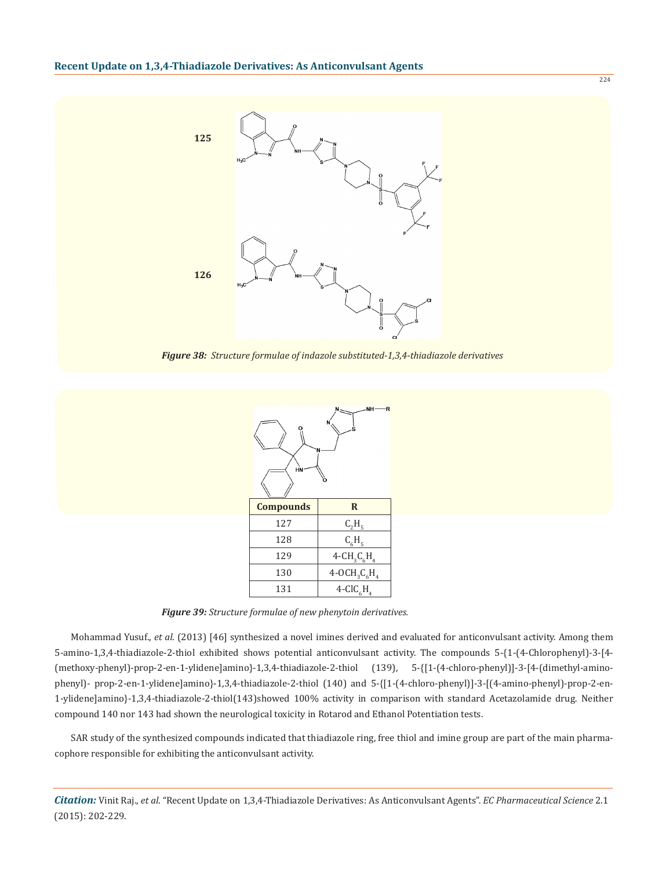

*Figure 38: Structure formulae of indazole substituted-1,3,4-thiadiazole derivatives*



*Figure 39: Structure formulae of new phenytoin derivatives.*

Mohammad Yusuf., *et al*. (2013) [46] synthesized a novel imines derived and evaluated for anticonvulsant activity. Among them 5-amino-1,3,4-thiadiazole-2-thiol exhibited shows potential anticonvulsant activity. The compounds 5-{1-(4-Chlorophenyl)-3-[4- (methoxy-phenyl)-prop-2-en-1-ylidene]amino}-1,3,4-thiadiazole-2-thiol (139), 5-{[1-(4-chloro-phenyl)]-3-[4-(dimethyl-aminophenyl)- prop-2-en-1-ylidene]amino}-1,3,4-thiadiazole-2-thiol (140) and 5-{[1-(4-chloro-phenyl)]-3-[(4-amino-phenyl)-prop-2-en-1-ylidene]amino}-1,3,4-thiadiazole-2-thiol(143)showed 100% activity in comparison with standard Acetazolamide drug. Neither compound 140 nor 143 had shown the neurological toxicity in Rotarod and Ethanol Potentiation tests.

SAR study of the synthesized compounds indicated that thiadiazole ring, free thiol and imine group are part of the main pharmacophore responsible for exhibiting the anticonvulsant activity.

*Citation:* Vinit Raj., *et al*. "Recent Update on 1,3,4-Thiadiazole Derivatives: As Anticonvulsant Agents". *EC Pharmaceutical Science* 2.1 (2015): 202-229.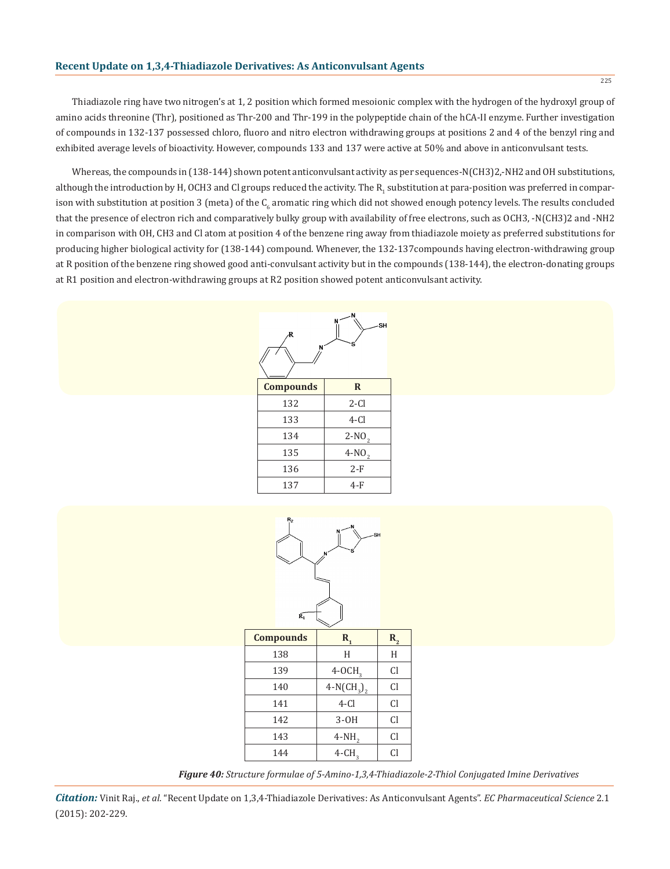Thiadiazole ring have two nitrogen's at 1, 2 position which formed mesoionic complex with the hydrogen of the hydroxyl group of amino acids threonine (Thr), positioned as Thr-200 and Thr-199 in the polypeptide chain of the hCA-II enzyme. Further investigation of compounds in 132-137 possessed chloro, fluoro and nitro electron withdrawing groups at positions 2 and 4 of the benzyl ring and exhibited average levels of bioactivity. However, compounds 133 and 137 were active at 50% and above in anticonvulsant tests.

Whereas, the compounds in (138-144) shown potent anticonvulsant activity as per sequences-N(CH3)2,-NH2 and OH substitutions, although the introduction by H, OCH3 and CI groups reduced the activity. The  $\rm R_i$  substitution at para-position was preferred in comparison with substitution at position 3 (meta) of the C<sub>6</sub> aromatic ring which did not showed enough potency levels. The results concluded that the presence of electron rich and comparatively bulky group with availability of free electrons, such as OCH3, -N(CH3)2 and -NH2 in comparison with OH, CH3 and Cl atom at position 4 of the benzene ring away from thiadiazole moiety as preferred substitutions for producing higher biological activity for (138-144) compound. Whenever, the 132-137compounds having electron-withdrawing group at R position of the benzene ring showed good anti-convulsant activity but in the compounds (138-144), the electron-donating groups at R1 position and electron-withdrawing groups at R2 position showed potent anticonvulsant activity.



| <b>Compounds</b> | R       |
|------------------|---------|
| 132              | $2-Cl$  |
| 133              | 4-Cl    |
| 134              | $2-NO2$ |
| 135              | $4-NO2$ |
| 136              | $2-F$   |
| 137              | 4-F     |



| <b>Compounds</b> | R,                   | $\mathbf{R}_{2}$ |  |  |  |
|------------------|----------------------|------------------|--|--|--|
| 138              | Н                    | Н                |  |  |  |
| 139              | $4-0CH3$             | Cl               |  |  |  |
| 140              | $4-N(CH_3)$          | Cl               |  |  |  |
| 141              | $4-Cl$               | Cl               |  |  |  |
| 142              | $3-OH$               | Cl               |  |  |  |
| 143              | $4-NH2$              | Cl               |  |  |  |
| 144              | $4$ -CH <sub>2</sub> | Cl               |  |  |  |
|                  |                      |                  |  |  |  |

*Figure 40: Structure formulae of 5-Amino-1,3,4-Thiadiazole-2-Thiol Conjugated Imine Derivatives*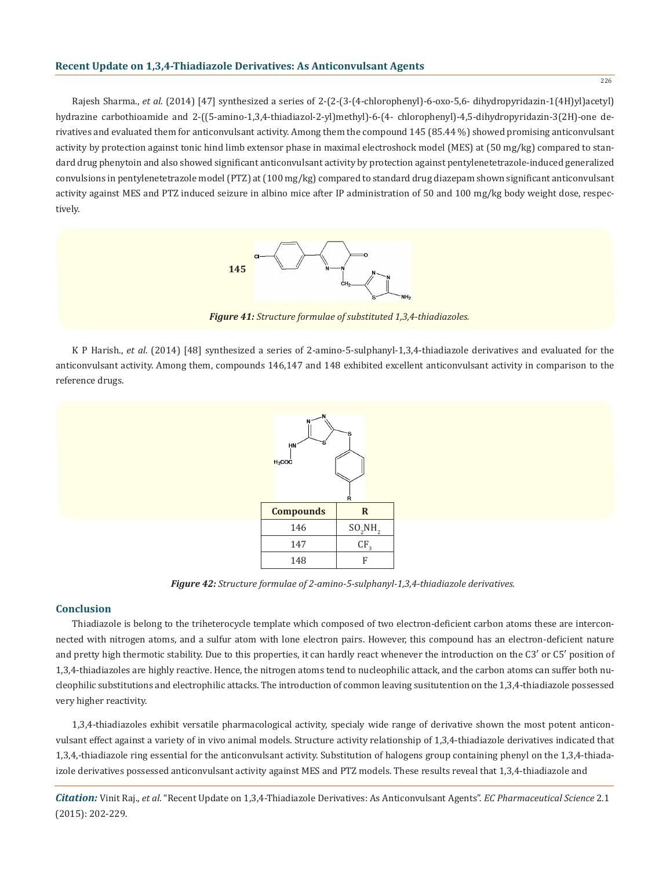Rajesh Sharma., *et al*. (2014) [47] synthesized a series of 2-(2-(3-(4-chlorophenyl)-6-oxo-5,6- dihydropyridazin-1(4H)yl)acetyl) hydrazine carbothioamide and 2-((5-amino-1,3,4-thiadiazol-2-yl)methyl)-6-(4- chlorophenyl)-4,5-dihydropyridazin-3(2H)-one derivatives and evaluated them for anticonvulsant activity. Among them the compound 145 (85.44 %) showed promising anticonvulsant activity by protection against tonic hind limb extensor phase in maximal electroshock model (MES) at (50 mg/kg) compared to standard drug phenytoin and also showed significant anticonvulsant activity by protection against pentylenetetrazole-induced generalized convulsions in pentylenetetrazole model (PTZ) at (100 mg/kg) compared to standard drug diazepam shown significant anticonvulsant activity against MES and PTZ induced seizure in albino mice after IP administration of 50 and 100 mg/kg body weight dose, respectively.



*Figure 41: Structure formulae of substituted 1,3,4-thiadiazoles.*

K P Harish., *et al*. (2014) [48] synthesized a series of 2-amino-5-sulphanyl-1,3,4-thiadiazole derivatives and evaluated for the anticonvulsant activity. Among them, compounds 146,147 and 148 exhibited excellent anticonvulsant activity in comparison to the reference drugs.



*Figure 42: Structure formulae of 2-amino-5-sulphanyl-1,3,4-thiadiazole derivatives.*

## **Conclusion**

Thiadiazole is belong to the triheterocycle template which composed of two electron-deficient carbon atoms these are interconnected with nitrogen atoms, and a sulfur atom with lone electron pairs. However, this compound has an electron-deficient nature and pretty high thermotic stability. Due to this properties, it can hardly react whenever the introduction on the C3′ or C5′ position of 1,3,4-thiadiazoles are highly reactive. Hence, the nitrogen atoms tend to nucleophilic attack, and the carbon atoms can suffer both nucleophilic substitutions and electrophilic attacks. The introduction of common leaving susitutention on the 1,3,4-thiadiazole possessed very higher reactivity.

1,3,4-thiadiazoles exhibit versatile pharmacological activity, specialy wide range of derivative shown the most potent anticonvulsant effect against a variety of in vivo animal models. Structure activity relationship of 1,3,4-thiadiazole derivatives indicated that 1,3,4,-thiadiazole ring essential for the anticonvulsant activity. Substitution of halogens group containing phenyl on the 1,3,4-thiadaizole derivatives possessed anticonvulsant activity against MES and PTZ models. These results reveal that 1,3,4-thiadiazole and

*Citation:* Vinit Raj., *et al*. "Recent Update on 1,3,4-Thiadiazole Derivatives: As Anticonvulsant Agents". *EC Pharmaceutical Science* 2.1 (2015): 202-229.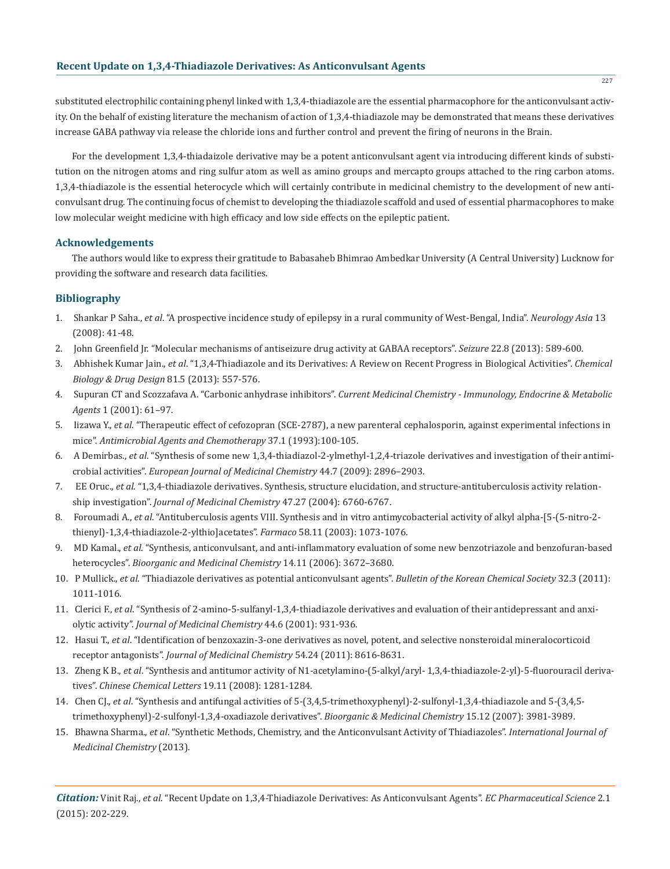substituted electrophilic containing phenyl linked with 1,3,4-thiadiazole are the essential pharmacophore for the anticonvulsant activity. On the behalf of existing literature the mechanism of action of 1,3,4-thiadiazole may be demonstrated that means these derivatives increase GABA pathway via release the chloride ions and further control and prevent the firing of neurons in the Brain.

For the development 1,3,4-thiadaizole derivative may be a potent anticonvulsant agent via introducing different kinds of substitution on the nitrogen atoms and ring sulfur atom as well as amino groups and mercapto groups attached to the ring carbon atoms. 1,3,4-thiadiazole is the essential heterocycle which will certainly contribute in medicinal chemistry to the development of new anticonvulsant drug. The continuing focus of chemist to developing the thiadiazole scaffold and used of essential pharmacophores to make low molecular weight medicine with high efficacy and low side effects on the epileptic patient.

## **Acknowledgements**

The authors would like to express their gratitude to Babasaheb Bhimrao Ambedkar University (A Central University) Lucknow for providing the software and research data facilities.

## **Bibliography**

- 1. Shankar P Saha., *et al*. "A prospective incidence study of epilepsy in a rural community of West-Bengal, India". *Neurology Asia* 13 (2008): 41-48.
- 2. John Greenfield Jr. "Molecular mechanisms of antiseizure drug activity at GABAA receptors". *Seizure* 22.8 (2013): 589-600.
- 3. Abhishek Kumar Jain., *et al*. "1,3,4-Thiadiazole and its Derivatives: A Review on Recent Progress in Biological Activities". *Chemical Biology & Drug Design* 81.5 (2013): 557-576.
- 4. Supuran CT and Scozzafava A. "Carbonic anhydrase inhibitors". *Current Medicinal Chemistry Immunology, Endocrine & Metabolic Agents* 1 (2001): 61–97.
- 5. Iizawa Y., *et al*. "Therapeutic effect of cefozopran (SCE-2787), a new parenteral cephalosporin, against experimental infections in mice". *Antimicrobial Agents and Chemotherapy* 37.1 (1993):100-105.
- 6. A Demirbas., *et al*. "Synthesis of some new 1,3,4-thiadiazol-2-ylmethyl-1,2,4-triazole derivatives and investigation of their antimi crobial activities". *European Journal of Medicinal Chemistry* 44.7 (2009): 2896–2903.
- 7. EE Oruc., *et al.* "1,3,4-thiadiazole derivatives. Synthesis, structure elucidation, and structure-antituberculosis activity relation ship investigation". *Journal of Medicinal Chemistry* 47.27 (2004): 6760-6767.
- 8. Foroumadi A., *et al*. "Antituberculosis agents VIII. Synthesis and in vitro antimycobacterial activity of alkyl alpha-[5-(5-nitro-2 thienyl)-1,3,4-thiadiazole-2-ylthio]acetates". *Farmaco* 58.11 (2003): 1073-1076.
- 9. MD Kamal., *et al*. "Synthesis, anticonvulsant, and anti-inflammatory evaluation of some new benzotriazole and benzofuran-based heterocycles". *Bioorganic and Medicinal Chemistry* 14.11 (2006): 3672–3680.
- 10. P Mullick., *et al*. "Thiadiazole derivatives as potential anticonvulsant agents". *Bulletin of the Korean Chemical Society* 32.3 (2011): 1011-1016.
- 11. Clerici F., *et al*. "Synthesis of 2-amino-5-sulfanyl-1,3,4-thiadiazole derivatives and evaluation of their antidepressant and anxi olytic activity". *Journal of Medicinal Chemistry* 44.6 (2001): 931-936.
- 12. Hasui T., *et al*. "Identification of benzoxazin-3-one derivatives as novel, potent, and selective nonsteroidal mineralocorticoid receptor antagonists". *Journal of Medicinal Chemistry* 54.24 (2011): 8616-8631.
- 13. Zheng K B., *et al*. "Synthesis and antitumor activity of N1-acetylamino-(5-alkyl/aryl- 1,3,4-thiadiazole-2-yl)-5-fluorouracil deriva tives". *Chinese Chemical Letters* 19.11 (2008): 1281-1284.
- 14. Chen CJ., *et al*. "Synthesis and antifungal activities of 5-(3,4,5-trimethoxyphenyl)-2-sulfonyl-1,3,4-thiadiazole and 5-(3,4,5 trimethoxyphenyl)-2-sulfonyl-1,3,4-oxadiazole derivatives". *Bioorganic & Medicinal Chemistry* 15.12 (2007): 3981-3989.
- 15. Bhawna Sharma., *et al*. "Synthetic Methods, Chemistry, and the Anticonvulsant Activity of Thiadiazoles". *International Journal of Medicinal Chemistry* (2013).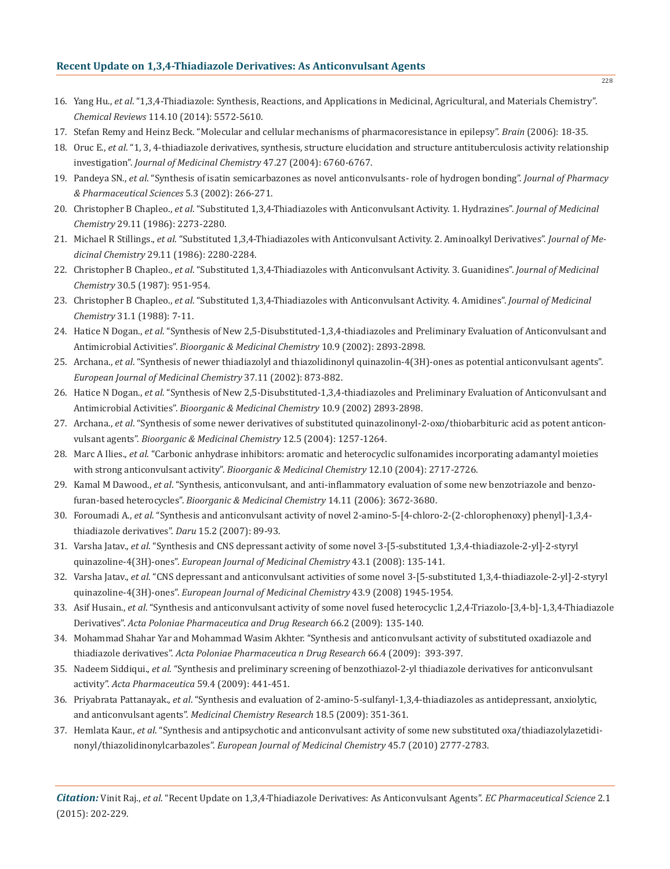- 16. Yang Hu., *et al*. "1,3,4-Thiadiazole: Synthesis, Reactions, and Applications in Medicinal, Agricultural, and Materials Chemistry". *Chemical Reviews* 114.10 (2014): 5572-5610.
- 17. Stefan Remy and Heinz Beck. "Molecular and cellular mechanisms of pharmacoresistance in epilepsy". *Brain* (2006): 18-35.
- 18. Oruc E., *et al*. "1, 3, 4-thiadiazole derivatives, synthesis, structure elucidation and structure antituberculosis activity relationship investigation". *Journal of Medicinal Chemistry* 47.27 (2004): 6760-6767.
- 19. Pandeya SN., *et al*. "Synthesis of isatin semicarbazones as novel anticonvulsants- role of hydrogen bonding". *Journal of Pharmacy & Pharmaceutical Sciences* 5.3 (2002): 266-271.
- 20. Christopher B Chapleo., *et al*. "Substituted 1,3,4-Thiadiazoles with Anticonvulsant Activity. 1. Hydrazines". *Journal of Medicinal Chemistry* 29.11 (1986): 2273-2280.
- 21. Michael R Stillings., *et al*. "Substituted 1,3,4-Thiadiazoles with Anticonvulsant Activity. 2. Aminoalkyl Derivatives". *Journal of Me dicinal Chemistry* 29.11 (1986): 2280-2284.
- 22. Christopher B Chapleo., *et al*. "Substituted 1,3,4-Thiadiazoles with Anticonvulsant Activity. 3. Guanidines". *Journal of Medicinal Chemistry* 30.5 (1987): 951-954.
- 23. Christopher B Chapleo., *et al*. "Substituted 1,3,4-Thiadiazoles with Anticonvulsant Activity. 4. Amidines". *Journal of Medicinal Chemistry* 31.1 (1988): 7-11.
- 24. Hatice N Dogan., *et al*. "Synthesis of New 2,5-Disubstituted-1,3,4-thiadiazoles and Preliminary Evaluation of Anticonvulsant and Antimicrobial Activities". *Bioorganic & Medicinal Chemistry* 10.9 (2002): 2893-2898.
- 25. Archana., *et al*. "Synthesis of newer thiadiazolyl and thiazolidinonyl quinazolin-4(3H)-ones as potential anticonvulsant agents". *European Journal of Medicinal Chemistry* 37.11 (2002): 873-882.
- 26. Hatice N Dogan., *et al*. "Synthesis of New 2,5-Disubstituted-1,3,4-thiadiazoles and Preliminary Evaluation of Anticonvulsant and Antimicrobial Activities". *Bioorganic & Medicinal Chemistry* 10.9 (2002) 2893-2898.
- 27. Archana., *et al*. "Synthesis of some newer derivatives of substituted quinazolinonyl-2-oxo/thiobarbituric acid as potent anticon vulsant agents". *Bioorganic & Medicinal Chemistry* 12.5 (2004): 1257-1264.
- 28. Marc A Ilies., *et al*. "Carbonic anhydrase inhibitors: aromatic and heterocyclic sulfonamides incorporating adamantyl moieties with strong anticonvulsant activity". *Bioorganic & Medicinal Chemistry* 12.10 (2004): 2717-2726.
- 29. Kamal M Dawood., *et al*. "Synthesis, anticonvulsant, and anti-inflammatory evaluation of some new benzotriazole and benzo furan-based heterocycles". *Bioorganic & Medicinal Chemistry* 14.11 (2006): 3672-3680.
- 30. Foroumadi A., *et al*. "Synthesis and anticonvulsant activity of novel 2-amino-5-[4-chloro-2-(2-chlorophenoxy) phenyl]-1,3,4 thiadiazole derivatives". *Daru* 15.2 (2007): 89-93.
- 31. Varsha Jatav., *et al*. "Synthesis and CNS depressant activity of some novel 3-[5-substituted 1,3,4-thiadiazole-2-yl]-2-styryl quinazoline-4(3H)-ones". *European Journal of Medicinal Chemistry* 43.1 (2008): 135-141.
- 32. Varsha Jatav., *et al*. "CNS depressant and anticonvulsant activities of some novel 3-[5-substituted 1,3,4-thiadiazole-2-yl]-2-styryl quinazoline-4(3H)-ones". *European Journal of Medicinal Chemistry* 43.9 (2008) 1945-1954.
- 33. Asif Husain., *et al*. "Synthesis and anticonvulsant activity of some novel fused heterocyclic 1,2,4-Triazolo-[3,4-b]-1,3,4-Thiadiazole Derivatives". *Acta Poloniae Pharmaceutica and Drug Research* 66.2 (2009): 135-140.
- 34. Mohammad Shahar Yar and Mohammad Wasim Akhter. "Synthesis and anticonvulsant activity of substituted oxadiazole and thiadiazole derivatives". *Acta Poloniae Pharmaceutica n Drug Research* 66.4 (2009): 393-397.
- 35. Nadeem Siddiqui., *et al*. "Synthesis and preliminary screening of benzothiazol-2-yl thiadiazole derivatives for anticonvulsant activity". *Acta Pharmaceutica* 59.4 (2009): 441-451.
- 36. Priyabrata Pattanayak., *et al*. "Synthesis and evaluation of 2-amino-5-sulfanyl-1,3,4-thiadiazoles as antidepressant, anxiolytic, and anticonvulsant agents". *Medicinal Chemistry Research* 18.5 (2009): 351-361.
- 37. Hemlata Kaur., *et al*. "Synthesis and antipsychotic and anticonvulsant activity of some new substituted oxa/thiadiazolylazetidi nonyl/thiazolidinonylcarbazoles". *European Journal of Medicinal Chemistry* 45.7 (2010) 2777-2783.